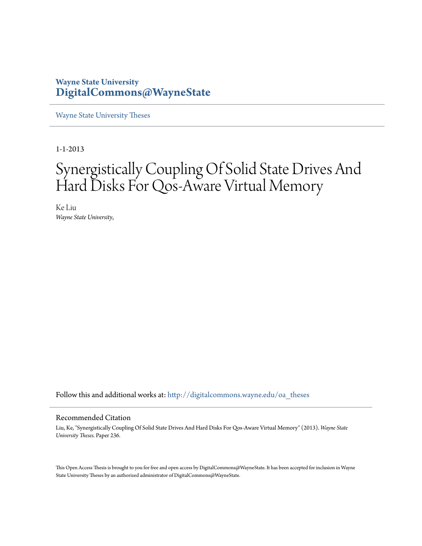## **Wayne State University [DigitalCommons@WayneState](http://digitalcommons.wayne.edu?utm_source=digitalcommons.wayne.edu%2Foa_theses%2F236&utm_medium=PDF&utm_campaign=PDFCoverPages)**

[Wayne State University Theses](http://digitalcommons.wayne.edu/oa_theses?utm_source=digitalcommons.wayne.edu%2Foa_theses%2F236&utm_medium=PDF&utm_campaign=PDFCoverPages)

1-1-2013

## Synergistically Coupling Of Solid State Drives And Hard Disks For Qos-Aware Virtual Memory

Ke Liu *Wayne State University*,

Follow this and additional works at: [http://digitalcommons.wayne.edu/oa\\_theses](http://digitalcommons.wayne.edu/oa_theses?utm_source=digitalcommons.wayne.edu%2Foa_theses%2F236&utm_medium=PDF&utm_campaign=PDFCoverPages)

#### Recommended Citation

Liu, Ke, "Synergistically Coupling Of Solid State Drives And Hard Disks For Qos-Aware Virtual Memory" (2013). *Wayne State University Theses.* Paper 236.

This Open Access Thesis is brought to you for free and open access by DigitalCommons@WayneState. It has been accepted for inclusion in Wayne State University Theses by an authorized administrator of DigitalCommons@WayneState.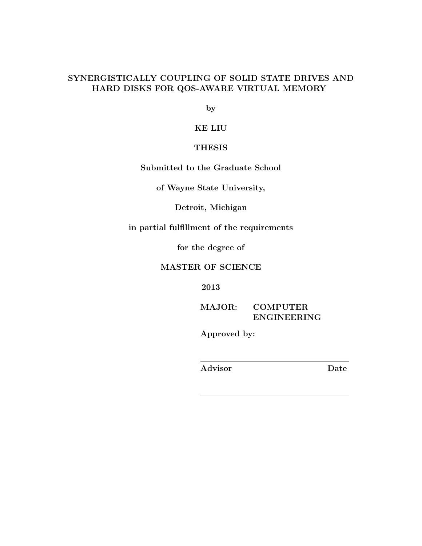#### SYNERGISTICALLY COUPLING OF SOLID STATE DRIVES AND HARD DISKS FOR QOS-AWARE VIRTUAL MEMORY

by

KE LIU

#### THESIS

Submitted to the Graduate School

of Wayne State University,

Detroit, Michigan

in partial fulfillment of the requirements

for the degree of

#### MASTER OF SCIENCE

2013

MAJOR: COMPUTER ENGINEERING

Approved by:

Advisor Date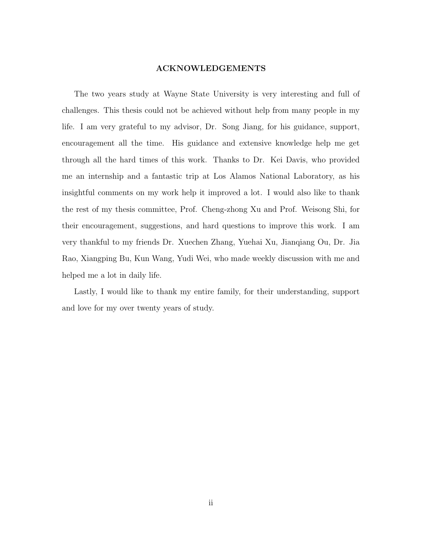#### ACKNOWLEDGEMENTS

The two years study at Wayne State University is very interesting and full of challenges. This thesis could not be achieved without help from many people in my life. I am very grateful to my advisor, Dr. Song Jiang, for his guidance, support, encouragement all the time. His guidance and extensive knowledge help me get through all the hard times of this work. Thanks to Dr. Kei Davis, who provided me an internship and a fantastic trip at Los Alamos National Laboratory, as his insightful comments on my work help it improved a lot. I would also like to thank the rest of my thesis committee, Prof. Cheng-zhong Xu and Prof. Weisong Shi, for their encouragement, suggestions, and hard questions to improve this work. I am very thankful to my friends Dr. Xuechen Zhang, Yuehai Xu, Jianqiang Ou, Dr. Jia Rao, Xiangping Bu, Kun Wang, Yudi Wei, who made weekly discussion with me and helped me a lot in daily life.

Lastly, I would like to thank my entire family, for their understanding, support and love for my over twenty years of study.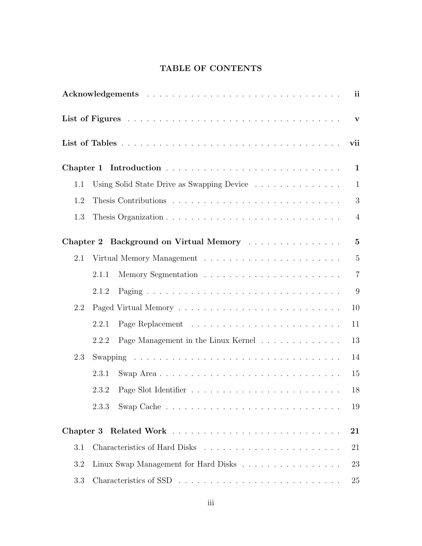### TABLE OF CONTENTS

|     |       |                                                                   | ii             |
|-----|-------|-------------------------------------------------------------------|----------------|
|     |       |                                                                   | $\mathbf{v}$   |
|     |       |                                                                   | vii            |
|     |       |                                                                   | $\mathbf{1}$   |
| 1.1 |       | Using Solid State Drive as Swapping Device                        | $\mathbf{1}$   |
| 1.2 |       |                                                                   | 3              |
| 1.3 |       |                                                                   | $\overline{4}$ |
|     |       | Chapter 2 Background on Virtual Memory                            | $\bf{5}$       |
| 2.1 |       |                                                                   | $\overline{5}$ |
|     | 2.1.1 |                                                                   | $\overline{7}$ |
|     | 2.1.2 |                                                                   | 9              |
| 2.2 |       |                                                                   | 10             |
|     | 2.2.1 |                                                                   | 11             |
|     | 2.2.2 | Page Management in the Linux Kernel $\ldots \ldots \ldots \ldots$ | 13             |
| 2.3 |       |                                                                   | 14             |
|     | 2.3.1 |                                                                   | 15             |
|     | 2.3.2 |                                                                   | 18             |
|     | 2.3.3 |                                                                   | 19             |
|     |       |                                                                   | 21             |
| 3.1 |       |                                                                   | 21             |
| 3.2 |       | Linux Swap Management for Hard Disks                              | 23             |
| 3.3 |       |                                                                   | 25             |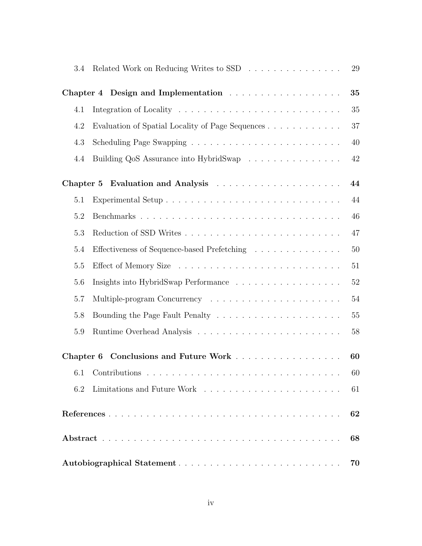| 3.4 | Related Work on Reducing Writes to SSD           | $29\,$ |  |  |
|-----|--------------------------------------------------|--------|--|--|
|     |                                                  | 35     |  |  |
| 4.1 |                                                  | 35     |  |  |
| 4.2 | Evaluation of Spatial Locality of Page Sequences | 37     |  |  |
| 4.3 |                                                  | 40     |  |  |
| 4.4 | Building QoS Assurance into HybridSwap           | 42     |  |  |
|     |                                                  | 44     |  |  |
| 5.1 |                                                  | 44     |  |  |
| 5.2 |                                                  | 46     |  |  |
| 5.3 |                                                  | 47     |  |  |
| 5.4 | Effectiveness of Sequence-based Prefetching      | 50     |  |  |
| 5.5 |                                                  | 51     |  |  |
| 5.6 |                                                  | 52     |  |  |
| 5.7 |                                                  | 54     |  |  |
| 5.8 |                                                  | 55     |  |  |
| 5.9 |                                                  | 58     |  |  |
|     | Chapter 6 Conclusions and Future Work            | 60     |  |  |
|     | 6.1 Contributions.                               | 60     |  |  |
| 6.2 |                                                  | 61     |  |  |
| 62  |                                                  |        |  |  |
|     |                                                  |        |  |  |
| 70  |                                                  |        |  |  |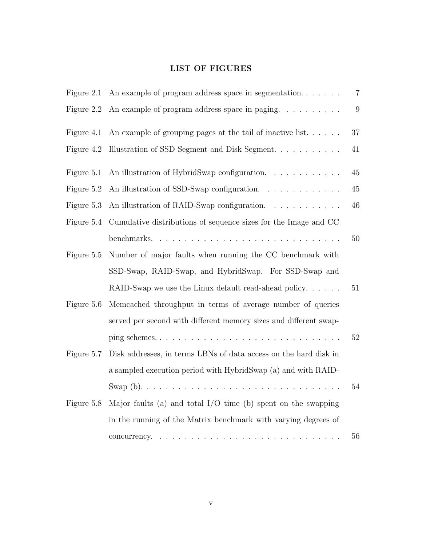### LIST OF FIGURES

| Figure 2.1 | An example of program address space in segmentation                  | $\overline{7}$   |
|------------|----------------------------------------------------------------------|------------------|
| Figure 2.2 | An example of program address space in paging.                       | $\boldsymbol{9}$ |
| Figure 4.1 | An example of grouping pages at the tail of inactive list. $\dots$ . | 37               |
| Figure 4.2 | Illustration of SSD Segment and Disk Segment                         | $41\,$           |
| Figure 5.1 | An illustration of HybridSwap configuration.                         | $45\,$           |
| Figure 5.2 | An illustration of SSD-Swap configuration.                           | $45\,$           |
| Figure 5.3 | An illustration of RAID-Swap configuration.                          | $46\,$           |
| Figure 5.4 | Cumulative distributions of sequence sizes for the Image and CC      |                  |
|            |                                                                      | $50\,$           |
| Figure 5.5 | Number of major faults when running the CC benchmark with            |                  |
|            | SSD-Swap, RAID-Swap, and HybridSwap. For SSD-Swap and                |                  |
|            | RAID-Swap we use the Linux default read-ahead policy. $\dots$ .      | 51               |
| Figure 5.6 | Memcached throughput in terms of average number of queries           |                  |
|            | served per second with different memory sizes and different swap-    |                  |
|            |                                                                      | $52\,$           |
| Figure 5.7 | Disk addresses, in terms LBNs of data access on the hard disk in     |                  |
|            | a sampled execution period with HybridSwap (a) and with RAID-        |                  |
|            |                                                                      | 54               |
| Figure 5.8 | Major faults (a) and total $I/O$ time (b) spent on the swapping      |                  |
|            | in the running of the Matrix benchmark with varying degrees of       |                  |
|            |                                                                      | 56               |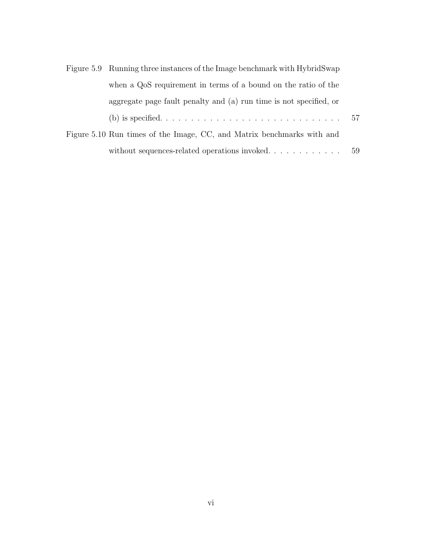| Figure 5.9 Running three instances of the Image benchmark with HybridSwap |  |
|---------------------------------------------------------------------------|--|
| when a QoS requirement in terms of a bound on the ratio of the            |  |
| aggregate page fault penalty and (a) run time is not specified, or        |  |
|                                                                           |  |
| Figure 5.10 Run times of the Image, CC, and Matrix benchmarks with and    |  |
|                                                                           |  |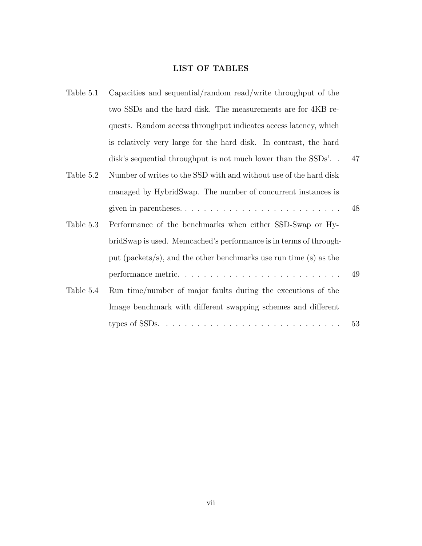#### LIST OF TABLES

| Table 5.1 | Capacities and sequential/random read/write throughput of the     |    |
|-----------|-------------------------------------------------------------------|----|
|           | two SSDs and the hard disk. The measurements are for 4KB re-      |    |
|           | quests. Random access throughput indicates access latency, which  |    |
|           | is relatively very large for the hard disk. In contrast, the hard |    |
|           | disk's sequential throughput is not much lower than the SSDs'     | 47 |
| Table 5.2 | Number of writes to the SSD with and without use of the hard disk |    |
|           | managed by HybridSwap. The number of concurrent instances is      |    |
|           | given in parentheses                                              | 48 |
| Table 5.3 | Performance of the benchmarks when either SSD-Swap or Hy-         |    |
|           | bridSwap is used. Memcached's performance is in terms of through- |    |
|           | put (packets/s), and the other benchmarks use run time (s) as the |    |
|           |                                                                   | 49 |
| Table 5.4 | Run time/number of major faults during the executions of the      |    |
|           | Image benchmark with different swapping schemes and different     |    |
|           |                                                                   | 53 |
|           |                                                                   |    |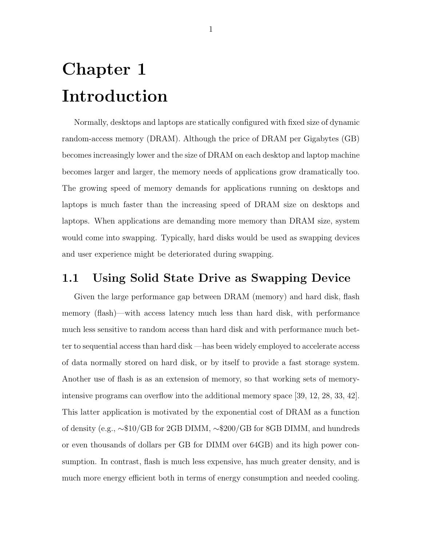## Chapter 1 Introduction

Normally, desktops and laptops are statically configured with fixed size of dynamic random-access memory (DRAM). Although the price of DRAM per Gigabytes (GB) becomes increasingly lower and the size of DRAM on each desktop and laptop machine becomes larger and larger, the memory needs of applications grow dramatically too. The growing speed of memory demands for applications running on desktops and laptops is much faster than the increasing speed of DRAM size on desktops and laptops. When applications are demanding more memory than DRAM size, system would come into swapping. Typically, hard disks would be used as swapping devices and user experience might be deteriorated during swapping.

## 1.1 Using Solid State Drive as Swapping Device

Given the large performance gap between DRAM (memory) and hard disk, flash memory (flash)—with access latency much less than hard disk, with performance much less sensitive to random access than hard disk and with performance much better to sequential access than hard disk —has been widely employed to accelerate access of data normally stored on hard disk, or by itself to provide a fast storage system. Another use of flash is as an extension of memory, so that working sets of memoryintensive programs can overflow into the additional memory space [39, 12, 28, 33, 42]. This latter application is motivated by the exponential cost of DRAM as a function of density (e.g., ∼\$10/GB for 2GB DIMM, ∼\$200/GB for 8GB DIMM, and hundreds or even thousands of dollars per GB for DIMM over 64GB) and its high power consumption. In contrast, flash is much less expensive, has much greater density, and is much more energy efficient both in terms of energy consumption and needed cooling.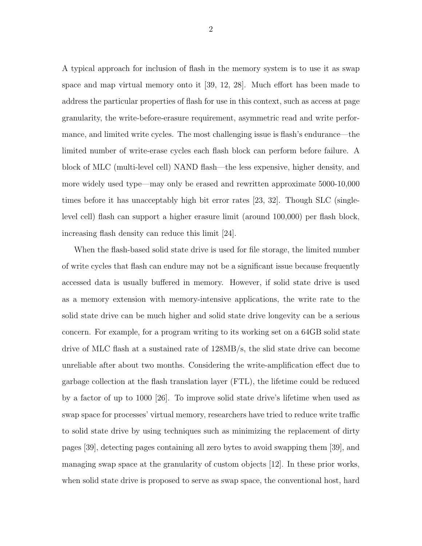A typical approach for inclusion of flash in the memory system is to use it as swap space and map virtual memory onto it [39, 12, 28]. Much effort has been made to address the particular properties of flash for use in this context, such as access at page granularity, the write-before-erasure requirement, asymmetric read and write performance, and limited write cycles. The most challenging issue is flash's endurance—the limited number of write-erase cycles each flash block can perform before failure. A block of MLC (multi-level cell) NAND flash—the less expensive, higher density, and more widely used type—may only be erased and rewritten approximate 5000-10,000 times before it has unacceptably high bit error rates [23, 32]. Though SLC (singlelevel cell) flash can support a higher erasure limit (around 100,000) per flash block, increasing flash density can reduce this limit [24].

When the flash-based solid state drive is used for file storage, the limited number of write cycles that flash can endure may not be a significant issue because frequently accessed data is usually buffered in memory. However, if solid state drive is used as a memory extension with memory-intensive applications, the write rate to the solid state drive can be much higher and solid state drive longevity can be a serious concern. For example, for a program writing to its working set on a 64GB solid state drive of MLC flash at a sustained rate of 128MB/s, the slid state drive can become unreliable after about two months. Considering the write-amplification effect due to garbage collection at the flash translation layer (FTL), the lifetime could be reduced by a factor of up to 1000 [26]. To improve solid state drive's lifetime when used as swap space for processes' virtual memory, researchers have tried to reduce write traffic to solid state drive by using techniques such as minimizing the replacement of dirty pages [39], detecting pages containing all zero bytes to avoid swapping them [39], and managing swap space at the granularity of custom objects [12]. In these prior works, when solid state drive is proposed to serve as swap space, the conventional host, hard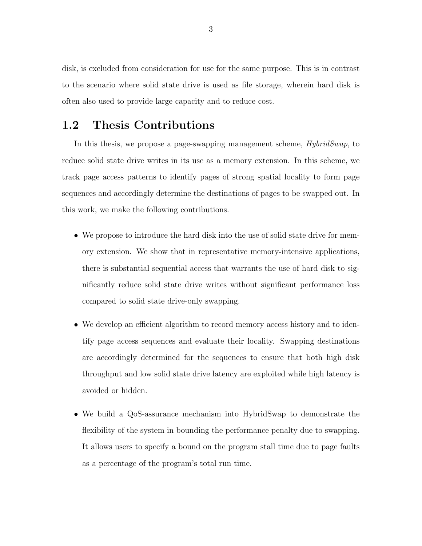disk, is excluded from consideration for use for the same purpose. This is in contrast to the scenario where solid state drive is used as file storage, wherein hard disk is often also used to provide large capacity and to reduce cost.

## 1.2 Thesis Contributions

In this thesis, we propose a page-swapping management scheme, *HybridSwap*, to reduce solid state drive writes in its use as a memory extension. In this scheme, we track page access patterns to identify pages of strong spatial locality to form page sequences and accordingly determine the destinations of pages to be swapped out. In this work, we make the following contributions.

- We propose to introduce the hard disk into the use of solid state drive for memory extension. We show that in representative memory-intensive applications, there is substantial sequential access that warrants the use of hard disk to significantly reduce solid state drive writes without significant performance loss compared to solid state drive-only swapping.
- We develop an efficient algorithm to record memory access history and to identify page access sequences and evaluate their locality. Swapping destinations are accordingly determined for the sequences to ensure that both high disk throughput and low solid state drive latency are exploited while high latency is avoided or hidden.
- We build a QoS-assurance mechanism into HybridSwap to demonstrate the flexibility of the system in bounding the performance penalty due to swapping. It allows users to specify a bound on the program stall time due to page faults as a percentage of the program's total run time.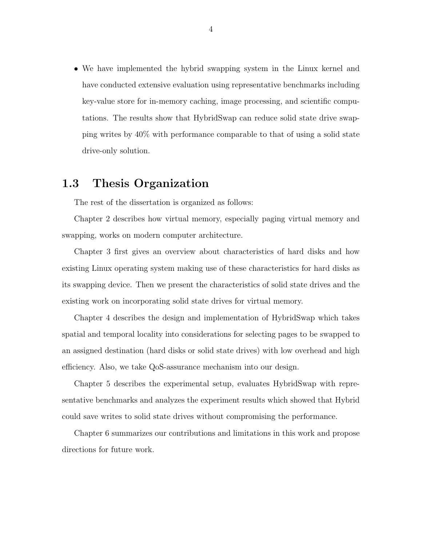• We have implemented the hybrid swapping system in the Linux kernel and have conducted extensive evaluation using representative benchmarks including key-value store for in-memory caching, image processing, and scientific computations. The results show that HybridSwap can reduce solid state drive swapping writes by 40% with performance comparable to that of using a solid state drive-only solution.

## 1.3 Thesis Organization

The rest of the dissertation is organized as follows:

Chapter 2 describes how virtual memory, especially paging virtual memory and swapping, works on modern computer architecture.

Chapter 3 first gives an overview about characteristics of hard disks and how existing Linux operating system making use of these characteristics for hard disks as its swapping device. Then we present the characteristics of solid state drives and the existing work on incorporating solid state drives for virtual memory.

Chapter 4 describes the design and implementation of HybridSwap which takes spatial and temporal locality into considerations for selecting pages to be swapped to an assigned destination (hard disks or solid state drives) with low overhead and high efficiency. Also, we take QoS-assurance mechanism into our design.

Chapter 5 describes the experimental setup, evaluates HybridSwap with representative benchmarks and analyzes the experiment results which showed that Hybrid could save writes to solid state drives without compromising the performance.

Chapter 6 summarizes our contributions and limitations in this work and propose directions for future work.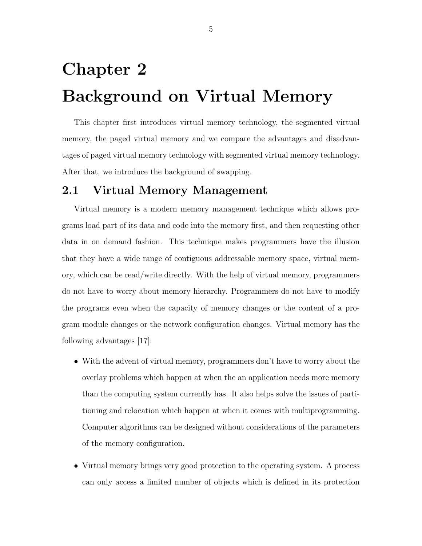# Chapter 2 Background on Virtual Memory

This chapter first introduces virtual memory technology, the segmented virtual memory, the paged virtual memory and we compare the advantages and disadvantages of paged virtual memory technology with segmented virtual memory technology. After that, we introduce the background of swapping.

## 2.1 Virtual Memory Management

Virtual memory is a modern memory management technique which allows programs load part of its data and code into the memory first, and then requesting other data in on demand fashion. This technique makes programmers have the illusion that they have a wide range of contiguous addressable memory space, virtual memory, which can be read/write directly. With the help of virtual memory, programmers do not have to worry about memory hierarchy. Programmers do not have to modify the programs even when the capacity of memory changes or the content of a program module changes or the network configuration changes. Virtual memory has the following advantages [17]:

- With the advent of virtual memory, programmers don't have to worry about the overlay problems which happen at when the an application needs more memory than the computing system currently has. It also helps solve the issues of partitioning and relocation which happen at when it comes with multiprogramming. Computer algorithms can be designed without considerations of the parameters of the memory configuration.
- Virtual memory brings very good protection to the operating system. A process can only access a limited number of objects which is defined in its protection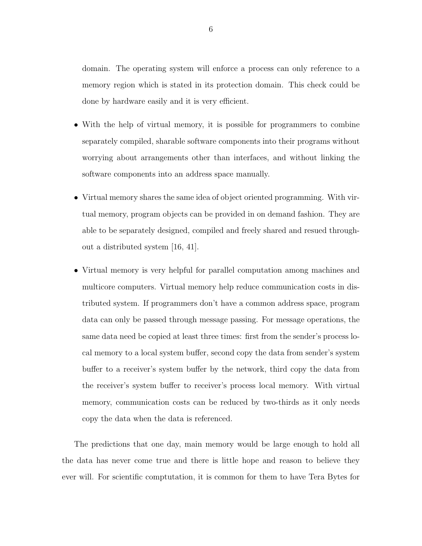domain. The operating system will enforce a process can only reference to a memory region which is stated in its protection domain. This check could be done by hardware easily and it is very efficient.

- With the help of virtual memory, it is possible for programmers to combine separately compiled, sharable software components into their programs without worrying about arrangements other than interfaces, and without linking the software components into an address space manually.
- Virtual memory shares the same idea of object oriented programming. With virtual memory, program objects can be provided in on demand fashion. They are able to be separately designed, compiled and freely shared and resued throughout a distributed system [16, 41].
- Virtual memory is very helpful for parallel computation among machines and multicore computers. Virtual memory help reduce communication costs in distributed system. If programmers don't have a common address space, program data can only be passed through message passing. For message operations, the same data need be copied at least three times: first from the sender's process local memory to a local system buffer, second copy the data from sender's system buffer to a receiver's system buffer by the network, third copy the data from the receiver's system buffer to receiver's process local memory. With virtual memory, communication costs can be reduced by two-thirds as it only needs copy the data when the data is referenced.

The predictions that one day, main memory would be large enough to hold all the data has never come true and there is little hope and reason to believe they ever will. For scientific comptutation, it is common for them to have Tera Bytes for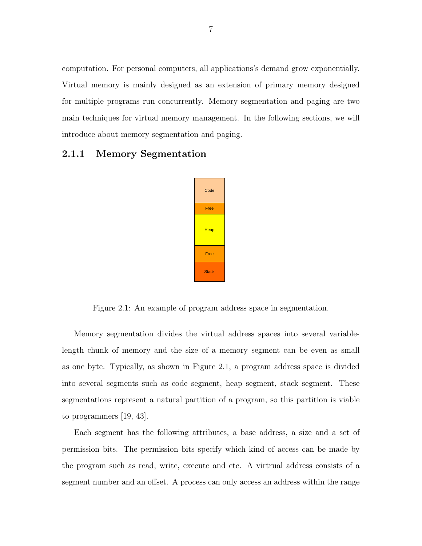computation. For personal computers, all applications's demand grow exponentially. Virtual memory is mainly designed as an extension of primary memory designed for multiple programs run concurrently. Memory segmentation and paging are two main techniques for virtual memory management. In the following sections, we will introduce about memory segmentation and paging.

#### 2.1.1 Memory Segmentation



Figure 2.1: An example of program address space in segmentation.

Memory segmentation divides the virtual address spaces into several variablelength chunk of memory and the size of a memory segment can be even as small as one byte. Typically, as shown in Figure 2.1, a program address space is divided into several segments such as code segment, heap segment, stack segment. These segmentations represent a natural partition of a program, so this partition is viable to programmers [19, 43].

Each segment has the following attributes, a base address, a size and a set of permission bits. The permission bits specify which kind of access can be made by the program such as read, write, execute and etc. A virtrual address consists of a segment number and an offset. A process can only access an address within the range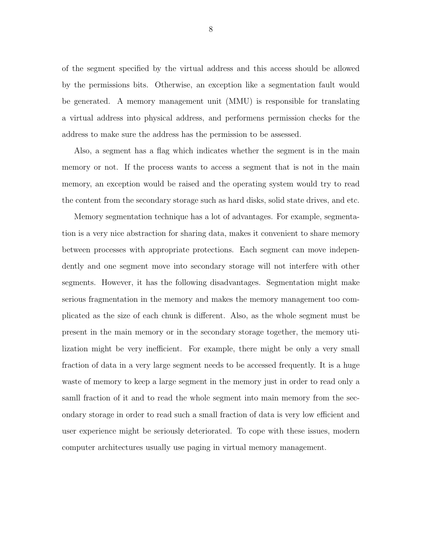of the segment specified by the virtual address and this access should be allowed by the permissions bits. Otherwise, an exception like a segmentation fault would be generated. A memory management unit (MMU) is responsible for translating a virtual address into physical address, and performens permission checks for the address to make sure the address has the permission to be assessed.

Also, a segment has a flag which indicates whether the segment is in the main memory or not. If the process wants to access a segment that is not in the main memory, an exception would be raised and the operating system would try to read the content from the secondary storage such as hard disks, solid state drives, and etc.

Memory segmentation technique has a lot of advantages. For example, segmentation is a very nice abstraction for sharing data, makes it convenient to share memory between processes with appropriate protections. Each segment can move independently and one segment move into secondary storage will not interfere with other segments. However, it has the following disadvantages. Segmentation might make serious fragmentation in the memory and makes the memory management too complicated as the size of each chunk is different. Also, as the whole segment must be present in the main memory or in the secondary storage together, the memory utilization might be very inefficient. For example, there might be only a very small fraction of data in a very large segment needs to be accessed frequently. It is a huge waste of memory to keep a large segment in the memory just in order to read only a samll fraction of it and to read the whole segment into main memory from the secondary storage in order to read such a small fraction of data is very low efficient and user experience might be seriously deteriorated. To cope with these issues, modern computer architectures usually use paging in virtual memory management.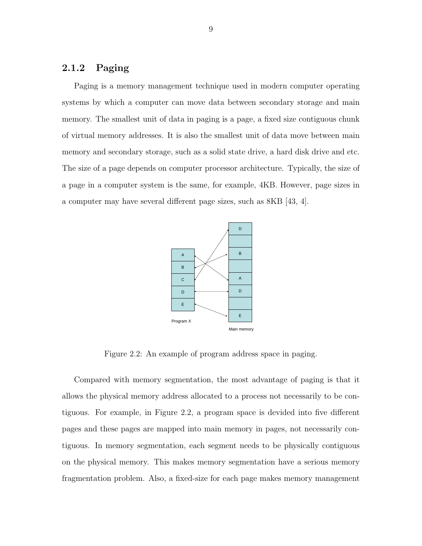#### 2.1.2 Paging

Paging is a memory management technique used in modern computer operating systems by which a computer can move data between secondary storage and main memory. The smallest unit of data in paging is a page, a fixed size contiguous chunk of virtual memory addresses. It is also the smallest unit of data move between main memory and secondary storage, such as a solid state drive, a hard disk drive and etc. The size of a page depends on computer processor architecture. Typically, the size of a page in a computer system is the same, for example, 4KB. However, page sizes in a computer may have several different page sizes, such as 8KB [43, 4].



Figure 2.2: An example of program address space in paging.

Compared with memory segmentation, the most advantage of paging is that it allows the physical memory address allocated to a process not necessarily to be contiguous. For example, in Figure 2.2, a program space is devided into five different pages and these pages are mapped into main memory in pages, not necessarily contiguous. In memory segmentation, each segment needs to be physically contiguous on the physical memory. This makes memory segmentation have a serious memory fragmentation problem. Also, a fixed-size for each page makes memory management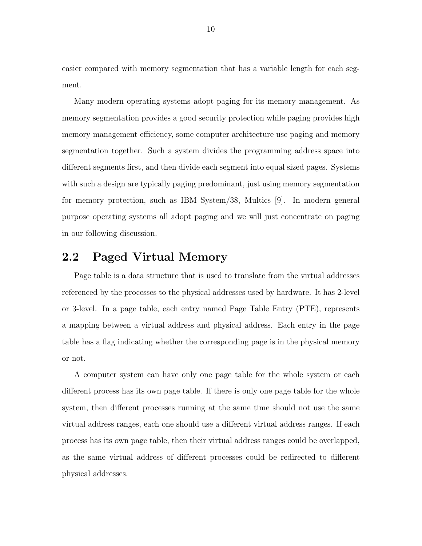easier compared with memory segmentation that has a variable length for each segment.

Many modern operating systems adopt paging for its memory management. As memory segmentation provides a good security protection while paging provides high memory management efficiency, some computer architecture use paging and memory segmentation together. Such a system divides the programming address space into different segments first, and then divide each segment into equal sized pages. Systems with such a design are typically paging predominant, just using memory segmentation for memory protection, such as IBM System/38, Multics [9]. In modern general purpose operating systems all adopt paging and we will just concentrate on paging in our following discussion.

## 2.2 Paged Virtual Memory

Page table is a data structure that is used to translate from the virtual addresses referenced by the processes to the physical addresses used by hardware. It has 2-level or 3-level. In a page table, each entry named Page Table Entry (PTE), represents a mapping between a virtual address and physical address. Each entry in the page table has a flag indicating whether the corresponding page is in the physical memory or not.

A computer system can have only one page table for the whole system or each different process has its own page table. If there is only one page table for the whole system, then different processes running at the same time should not use the same virtual address ranges, each one should use a different virtual address ranges. If each process has its own page table, then their virtual address ranges could be overlapped, as the same virtual address of different processes could be redirected to different physical addresses.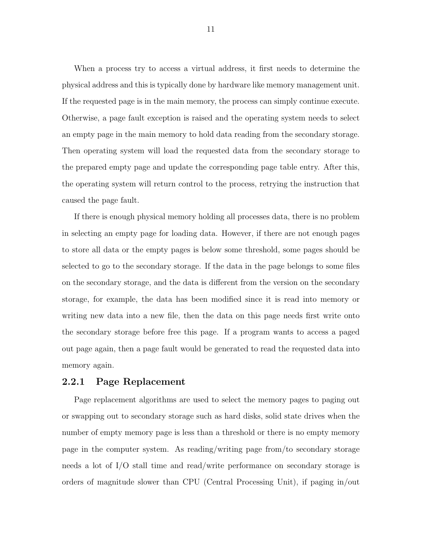When a process try to access a virtual address, it first needs to determine the physical address and this is typically done by hardware like memory management unit. If the requested page is in the main memory, the process can simply continue execute. Otherwise, a page fault exception is raised and the operating system needs to select an empty page in the main memory to hold data reading from the secondary storage. Then operating system will load the requested data from the secondary storage to the prepared empty page and update the corresponding page table entry. After this, the operating system will return control to the process, retrying the instruction that caused the page fault.

If there is enough physical memory holding all processes data, there is no problem in selecting an empty page for loading data. However, if there are not enough pages to store all data or the empty pages is below some threshold, some pages should be selected to go to the secondary storage. If the data in the page belongs to some files on the secondary storage, and the data is different from the version on the secondary storage, for example, the data has been modified since it is read into memory or writing new data into a new file, then the data on this page needs first write onto the secondary storage before free this page. If a program wants to access a paged out page again, then a page fault would be generated to read the requested data into memory again.

#### 2.2.1 Page Replacement

Page replacement algorithms are used to select the memory pages to paging out or swapping out to secondary storage such as hard disks, solid state drives when the number of empty memory page is less than a threshold or there is no empty memory page in the computer system. As reading/writing page from/to secondary storage needs a lot of I/O stall time and read/write performance on secondary storage is orders of magnitude slower than CPU (Central Processing Unit), if paging in/out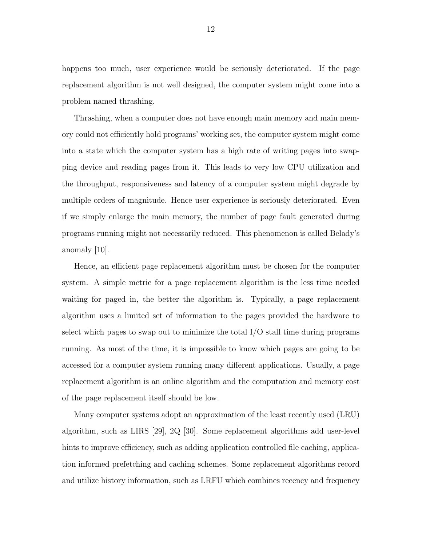happens too much, user experience would be seriously deteriorated. If the page replacement algorithm is not well designed, the computer system might come into a problem named thrashing.

Thrashing, when a computer does not have enough main memory and main memory could not efficiently hold programs' working set, the computer system might come into a state which the computer system has a high rate of writing pages into swapping device and reading pages from it. This leads to very low CPU utilization and the throughput, responsiveness and latency of a computer system might degrade by multiple orders of magnitude. Hence user experience is seriously deteriorated. Even if we simply enlarge the main memory, the number of page fault generated during programs running might not necessarily reduced. This phenomenon is called Belady's anomaly [10].

Hence, an efficient page replacement algorithm must be chosen for the computer system. A simple metric for a page replacement algorithm is the less time needed waiting for paged in, the better the algorithm is. Typically, a page replacement algorithm uses a limited set of information to the pages provided the hardware to select which pages to swap out to minimize the total  $I/O$  stall time during programs running. As most of the time, it is impossible to know which pages are going to be accessed for a computer system running many different applications. Usually, a page replacement algorithm is an online algorithm and the computation and memory cost of the page replacement itself should be low.

Many computer systems adopt an approximation of the least recently used (LRU) algorithm, such as LIRS [29], 2Q [30]. Some replacement algorithms add user-level hints to improve efficiency, such as adding application controlled file caching, application informed prefetching and caching schemes. Some replacement algorithms record and utilize history information, such as LRFU which combines recency and frequency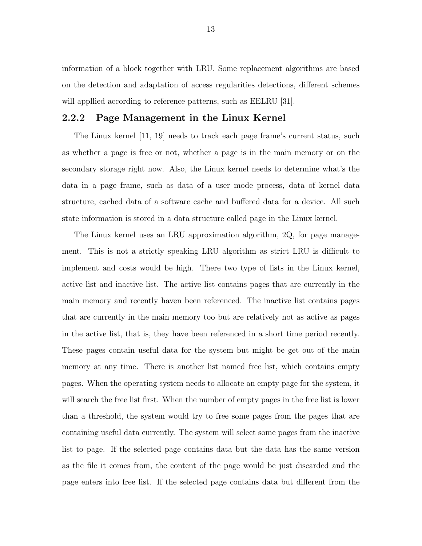information of a block together with LRU. Some replacement algorithms are based on the detection and adaptation of access regularities detections, different schemes will appllied according to reference patterns, such as EELRU [31].

#### 2.2.2 Page Management in the Linux Kernel

The Linux kernel [11, 19] needs to track each page frame's current status, such as whether a page is free or not, whether a page is in the main memory or on the secondary storage right now. Also, the Linux kernel needs to determine what's the data in a page frame, such as data of a user mode process, data of kernel data structure, cached data of a software cache and buffered data for a device. All such state information is stored in a data structure called page in the Linux kernel.

The Linux kernel uses an LRU approximation algorithm, 2Q, for page management. This is not a strictly speaking LRU algorithm as strict LRU is difficult to implement and costs would be high. There two type of lists in the Linux kernel, active list and inactive list. The active list contains pages that are currently in the main memory and recently haven been referenced. The inactive list contains pages that are currently in the main memory too but are relatively not as active as pages in the active list, that is, they have been referenced in a short time period recently. These pages contain useful data for the system but might be get out of the main memory at any time. There is another list named free list, which contains empty pages. When the operating system needs to allocate an empty page for the system, it will search the free list first. When the number of empty pages in the free list is lower than a threshold, the system would try to free some pages from the pages that are containing useful data currently. The system will select some pages from the inactive list to page. If the selected page contains data but the data has the same version as the file it comes from, the content of the page would be just discarded and the page enters into free list. If the selected page contains data but different from the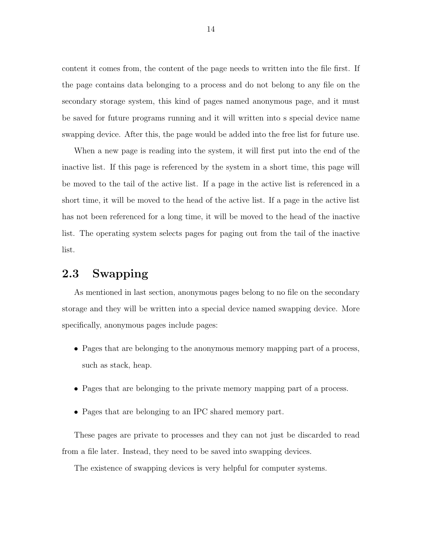content it comes from, the content of the page needs to written into the file first. If the page contains data belonging to a process and do not belong to any file on the secondary storage system, this kind of pages named anonymous page, and it must be saved for future programs running and it will written into s special device name swapping device. After this, the page would be added into the free list for future use.

When a new page is reading into the system, it will first put into the end of the inactive list. If this page is referenced by the system in a short time, this page will be moved to the tail of the active list. If a page in the active list is referenced in a short time, it will be moved to the head of the active list. If a page in the active list has not been referenced for a long time, it will be moved to the head of the inactive list. The operating system selects pages for paging out from the tail of the inactive list.

## 2.3 Swapping

As mentioned in last section, anonymous pages belong to no file on the secondary storage and they will be written into a special device named swapping device. More specifically, anonymous pages include pages:

- Pages that are belonging to the anonymous memory mapping part of a process, such as stack, heap.
- Pages that are belonging to the private memory mapping part of a process.
- Pages that are belonging to an IPC shared memory part.

These pages are private to processes and they can not just be discarded to read from a file later. Instead, they need to be saved into swapping devices.

The existence of swapping devices is very helpful for computer systems.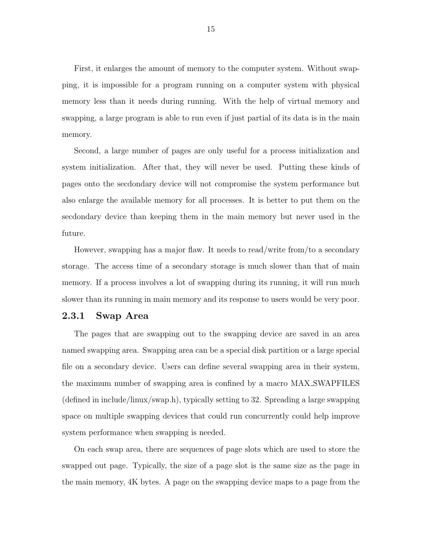First, it enlarges the amount of memory to the computer system. Without swapping, it is impossible for a program running on a computer system with physical memory less than it needs during running. With the help of virtual memory and swapping, a large program is able to run even if just partial of its data is in the main memory.

Second, a large number of pages are only useful for a process initialization and system initialization. After that, they will never be used. Putting these kinds of pages onto the secdondary device will not compromise the system performance but also enlarge the available memory for all processes. It is better to put them on the secdondary device than keeping them in the main memory but never used in the future.

However, swapping has a major flaw. It needs to read/write from/to a secondary storage. The access time of a secondary storage is much slower than that of main memory. If a process involves a lot of swapping during its running, it will run much slower than its running in main memory and its response to users would be very poor.

#### 2.3.1 Swap Area

The pages that are swapping out to the swapping device are saved in an area named swapping area. Swapping area can be a special disk partition or a large special file on a secondary device. Users can define several swapping area in their system, the maximum number of swapping area is confined by a macro MAX SWAPFILES (defined in include/linux/swap.h), typically setting to 32. Spreading a large swapping space on multiple swapping devices that could run concurrently could help improve system performance when swapping is needed.

On each swap area, there are sequences of page slots which are used to store the swapped out page. Typically, the size of a page slot is the same size as the page in the main memory, 4K bytes. A page on the swapping device maps to a page from the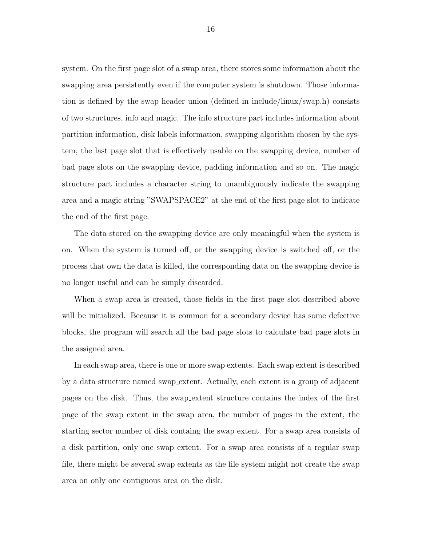system. On the first page slot of a swap area, there stores some information about the swapping area persistently even if the computer system is shutdown. Those information is defined by the swap header union (defined in include/linux/swap.h) consists of two structures, info and magic. The info structure part includes information about partition information, disk labels information, swapping algorithm chosen by the system, the last page slot that is effectively usable on the swapping device, number of bad page slots on the swapping device, padding information and so on. The magic structure part includes a character string to unambiguously indicate the swapping area and a magic string "SWAPSPACE2" at the end of the first page slot to indicate the end of the first page.

The data stored on the swapping device are only meaningful when the system is on. When the system is turned off, or the swapping device is switched off, or the process that own the data is killed, the corresponding data on the swapping device is no longer useful and can be simply discarded.

When a swap area is created, those fields in the first page slot described above will be initialized. Because it is common for a secondary device has some defective blocks, the program will search all the bad page slots to calculate bad page slots in the assigned area.

In each swap area, there is one or more swap extents. Each swap extent is described by a data structure named swap extent. Actually, each extent is a group of adjacent pages on the disk. Thus, the swap extent structure contains the index of the first page of the swap extent in the swap area, the number of pages in the extent, the starting sector number of disk containg the swap extent. For a swap area consists of a disk partition, only one swap extent. For a swap area consists of a regular swap file, there might be several swap extents as the file system might not create the swap area on only one contiguous area on the disk.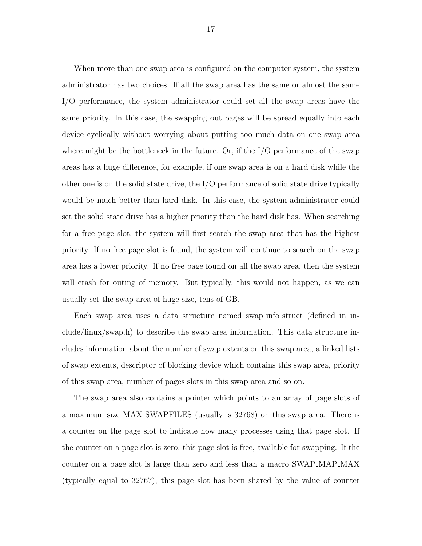When more than one swap area is configured on the computer system, the system administrator has two choices. If all the swap area has the same or almost the same I/O performance, the system administrator could set all the swap areas have the same priority. In this case, the swapping out pages will be spread equally into each device cyclically without worrying about putting too much data on one swap area where might be the bottleneck in the future. Or, if the  $I/O$  performance of the swap areas has a huge difference, for example, if one swap area is on a hard disk while the other one is on the solid state drive, the I/O performance of solid state drive typically would be much better than hard disk. In this case, the system administrator could set the solid state drive has a higher priority than the hard disk has. When searching for a free page slot, the system will first search the swap area that has the highest priority. If no free page slot is found, the system will continue to search on the swap area has a lower priority. If no free page found on all the swap area, then the system will crash for outing of memory. But typically, this would not happen, as we can usually set the swap area of huge size, tens of GB.

Each swap area uses a data structure named swap info struct (defined in include/linux/swap.h) to describe the swap area information. This data structure includes information about the number of swap extents on this swap area, a linked lists of swap extents, descriptor of blocking device which contains this swap area, priority of this swap area, number of pages slots in this swap area and so on.

The swap area also contains a pointer which points to an array of page slots of a maximum size MAX SWAPFILES (usually is 32768) on this swap area. There is a counter on the page slot to indicate how many processes using that page slot. If the counter on a page slot is zero, this page slot is free, available for swapping. If the counter on a page slot is large than zero and less than a macro SWAP MAP MAX (typically equal to 32767), this page slot has been shared by the value of counter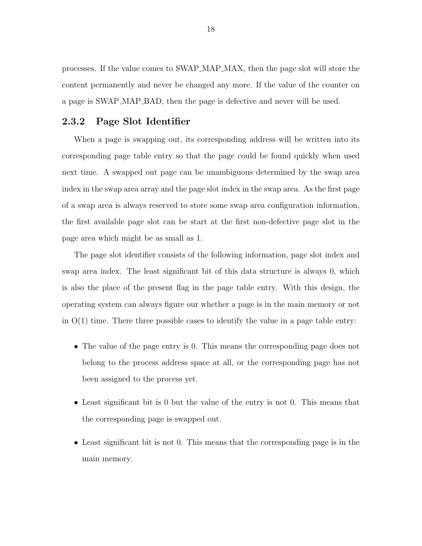processes. If the value comes to SWAP MAP MAX, then the page slot will store the content permanently and never be changed any more. If the value of the counter on a page is SWAP MAP BAD, then the page is defective and never will be used.

#### 2.3.2 Page Slot Identifier

When a page is swapping out, its corresponding address will be written into its corresponding page table entry so that the page could be found quickly when used next time. A swapped out page can be unambiguous determined by the swap area index in the swap area array and the page slot index in the swap area. As the first page of a swap area is always reserved to store some swap area configuration information, the first available page slot can be start at the first non-defective page slot in the page area which might be as small as 1.

The page slot identifier consists of the following information, page slot index and swap area index. The least significant bit of this data structure is always 0, which is also the place of the present flag in the page table entry. With this design, the operating system can always figure our whether a page is in the main memory or not in  $O(1)$  time. There three possible cases to identify the value in a page table entry:

- The value of the page entry is 0. This means the corresponding page does not belong to the process address space at all, or the corresponding page has not been assigned to the process yet.
- Least significant bit is 0 but the value of the entry is not 0. This means that the corresponding page is swapped out.
- Least significant bit is not 0. This means that the corresponding page is in the main memory.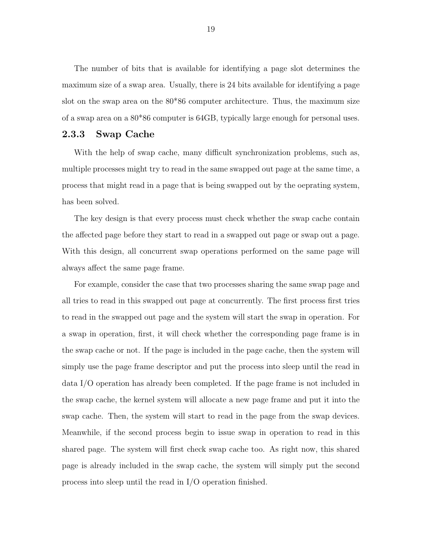The number of bits that is available for identifying a page slot determines the maximum size of a swap area. Usually, there is 24 bits available for identifying a page slot on the swap area on the 80\*86 computer architecture. Thus, the maximum size of a swap area on a 80\*86 computer is 64GB, typically large enough for personal uses.

#### 2.3.3 Swap Cache

With the help of swap cache, many difficult synchronization problems, such as, multiple processes might try to read in the same swapped out page at the same time, a process that might read in a page that is being swapped out by the oeprating system, has been solved.

The key design is that every process must check whether the swap cache contain the affected page before they start to read in a swapped out page or swap out a page. With this design, all concurrent swap operations performed on the same page will always affect the same page frame.

For example, consider the case that two processes sharing the same swap page and all tries to read in this swapped out page at concurrently. The first process first tries to read in the swapped out page and the system will start the swap in operation. For a swap in operation, first, it will check whether the corresponding page frame is in the swap cache or not. If the page is included in the page cache, then the system will simply use the page frame descriptor and put the process into sleep until the read in data I/O operation has already been completed. If the page frame is not included in the swap cache, the kernel system will allocate a new page frame and put it into the swap cache. Then, the system will start to read in the page from the swap devices. Meanwhile, if the second process begin to issue swap in operation to read in this shared page. The system will first check swap cache too. As right now, this shared page is already included in the swap cache, the system will simply put the second process into sleep until the read in I/O operation finished.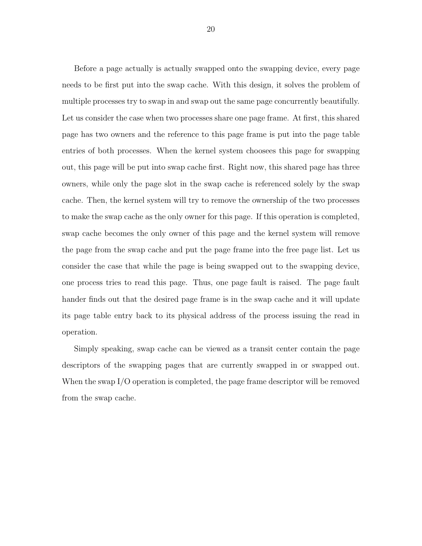Before a page actually is actually swapped onto the swapping device, every page needs to be first put into the swap cache. With this design, it solves the problem of multiple processes try to swap in and swap out the same page concurrently beautifully. Let us consider the case when two processes share one page frame. At first, this shared page has two owners and the reference to this page frame is put into the page table entries of both processes. When the kernel system choosees this page for swapping out, this page will be put into swap cache first. Right now, this shared page has three owners, while only the page slot in the swap cache is referenced solely by the swap cache. Then, the kernel system will try to remove the ownership of the two processes to make the swap cache as the only owner for this page. If this operation is completed, swap cache becomes the only owner of this page and the kernel system will remove the page from the swap cache and put the page frame into the free page list. Let us consider the case that while the page is being swapped out to the swapping device, one process tries to read this page. Thus, one page fault is raised. The page fault hander finds out that the desired page frame is in the swap cache and it will update its page table entry back to its physical address of the process issuing the read in operation.

Simply speaking, swap cache can be viewed as a transit center contain the page descriptors of the swapping pages that are currently swapped in or swapped out. When the swap I/O operation is completed, the page frame descriptor will be removed from the swap cache.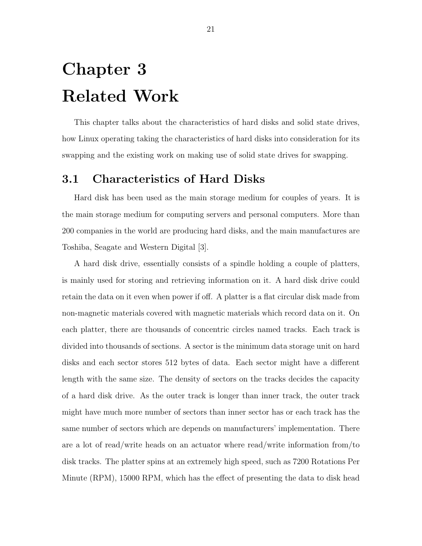## Chapter 3 Related Work

This chapter talks about the characteristics of hard disks and solid state drives, how Linux operating taking the characteristics of hard disks into consideration for its swapping and the existing work on making use of solid state drives for swapping.

## 3.1 Characteristics of Hard Disks

Hard disk has been used as the main storage medium for couples of years. It is the main storage medium for computing servers and personal computers. More than 200 companies in the world are producing hard disks, and the main manufactures are Toshiba, Seagate and Western Digital [3].

A hard disk drive, essentially consists of a spindle holding a couple of platters, is mainly used for storing and retrieving information on it. A hard disk drive could retain the data on it even when power if off. A platter is a flat circular disk made from non-magnetic materials covered with magnetic materials which record data on it. On each platter, there are thousands of concentric circles named tracks. Each track is divided into thousands of sections. A sector is the minimum data storage unit on hard disks and each sector stores 512 bytes of data. Each sector might have a different length with the same size. The density of sectors on the tracks decides the capacity of a hard disk drive. As the outer track is longer than inner track, the outer track might have much more number of sectors than inner sector has or each track has the same number of sectors which are depends on manufacturers' implementation. There are a lot of read/write heads on an actuator where read/write information from/to disk tracks. The platter spins at an extremely high speed, such as 7200 Rotations Per Minute (RPM), 15000 RPM, which has the effect of presenting the data to disk head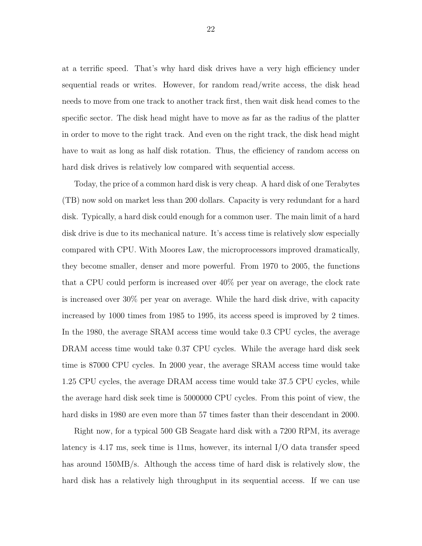at a terrific speed. That's why hard disk drives have a very high efficiency under sequential reads or writes. However, for random read/write access, the disk head needs to move from one track to another track first, then wait disk head comes to the specific sector. The disk head might have to move as far as the radius of the platter in order to move to the right track. And even on the right track, the disk head might have to wait as long as half disk rotation. Thus, the efficiency of random access on hard disk drives is relatively low compared with sequential access.

Today, the price of a common hard disk is very cheap. A hard disk of one Terabytes (TB) now sold on market less than 200 dollars. Capacity is very redundant for a hard disk. Typically, a hard disk could enough for a common user. The main limit of a hard disk drive is due to its mechanical nature. It's access time is relatively slow especially compared with CPU. With Moores Law, the microprocessors improved dramatically, they become smaller, denser and more powerful. From 1970 to 2005, the functions that a CPU could perform is increased over 40% per year on average, the clock rate is increased over 30% per year on average. While the hard disk drive, with capacity increased by 1000 times from 1985 to 1995, its access speed is improved by 2 times. In the 1980, the average SRAM access time would take 0.3 CPU cycles, the average DRAM access time would take 0.37 CPU cycles. While the average hard disk seek time is 87000 CPU cycles. In 2000 year, the average SRAM access time would take 1.25 CPU cycles, the average DRAM access time would take 37.5 CPU cycles, while the average hard disk seek time is 5000000 CPU cycles. From this point of view, the hard disks in 1980 are even more than 57 times faster than their descendant in 2000.

Right now, for a typical 500 GB Seagate hard disk with a 7200 RPM, its average latency is 4.17 ms, seek time is 11ms, however, its internal I/O data transfer speed has around 150MB/s. Although the access time of hard disk is relatively slow, the hard disk has a relatively high throughput in its sequential access. If we can use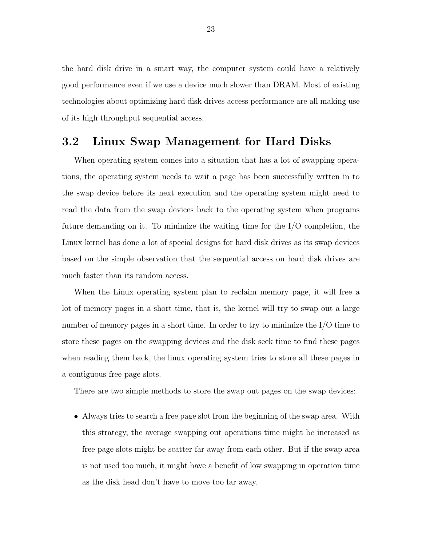the hard disk drive in a smart way, the computer system could have a relatively good performance even if we use a device much slower than DRAM. Most of existing technologies about optimizing hard disk drives access performance are all making use of its high throughput sequential access.

## 3.2 Linux Swap Management for Hard Disks

When operating system comes into a situation that has a lot of swapping operations, the operating system needs to wait a page has been successfully wrtten in to the swap device before its next execution and the operating system might need to read the data from the swap devices back to the operating system when programs future demanding on it. To minimize the waiting time for the I/O completion, the Linux kernel has done a lot of special designs for hard disk drives as its swap devices based on the simple observation that the sequential access on hard disk drives are much faster than its random access.

When the Linux operating system plan to reclaim memory page, it will free a lot of memory pages in a short time, that is, the kernel will try to swap out a large number of memory pages in a short time. In order to try to minimize the I/O time to store these pages on the swapping devices and the disk seek time to find these pages when reading them back, the linux operating system tries to store all these pages in a contiguous free page slots.

There are two simple methods to store the swap out pages on the swap devices:

• Always tries to search a free page slot from the beginning of the swap area. With this strategy, the average swapping out operations time might be increased as free page slots might be scatter far away from each other. But if the swap area is not used too much, it might have a benefit of low swapping in operation time as the disk head don't have to move too far away.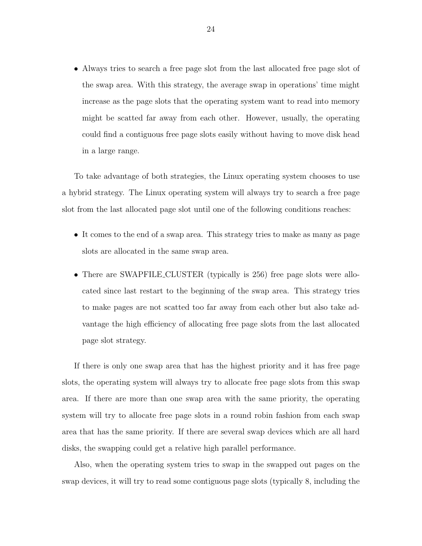• Always tries to search a free page slot from the last allocated free page slot of the swap area. With this strategy, the average swap in operations' time might increase as the page slots that the operating system want to read into memory might be scatted far away from each other. However, usually, the operating could find a contiguous free page slots easily without having to move disk head in a large range.

To take advantage of both strategies, the Linux operating system chooses to use a hybrid strategy. The Linux operating system will always try to search a free page slot from the last allocated page slot until one of the following conditions reaches:

- It comes to the end of a swap area. This strategy tries to make as many as page slots are allocated in the same swap area.
- There are SWAPFILE CLUSTER (typically is 256) free page slots were allocated since last restart to the beginning of the swap area. This strategy tries to make pages are not scatted too far away from each other but also take advantage the high efficiency of allocating free page slots from the last allocated page slot strategy.

If there is only one swap area that has the highest priority and it has free page slots, the operating system will always try to allocate free page slots from this swap area. If there are more than one swap area with the same priority, the operating system will try to allocate free page slots in a round robin fashion from each swap area that has the same priority. If there are several swap devices which are all hard disks, the swapping could get a relative high parallel performance.

Also, when the operating system tries to swap in the swapped out pages on the swap devices, it will try to read some contiguous page slots (typically 8, including the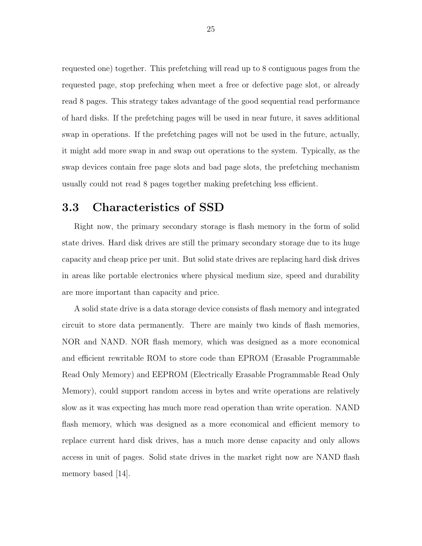requested one) together. This prefetching will read up to 8 contiguous pages from the requested page, stop prefeching when meet a free or defective page slot, or already read 8 pages. This strategy takes advantage of the good sequential read performance of hard disks. If the prefetching pages will be used in near future, it saves additional swap in operations. If the prefetching pages will not be used in the future, actually, it might add more swap in and swap out operations to the system. Typically, as the swap devices contain free page slots and bad page slots, the prefetching mechanism usually could not read 8 pages together making prefetching less efficient.

## 3.3 Characteristics of SSD

Right now, the primary secondary storage is flash memory in the form of solid state drives. Hard disk drives are still the primary secondary storage due to its huge capacity and cheap price per unit. But solid state drives are replacing hard disk drives in areas like portable electronics where physical medium size, speed and durability are more important than capacity and price.

A solid state drive is a data storage device consists of flash memory and integrated circuit to store data permanently. There are mainly two kinds of flash memories, NOR and NAND. NOR flash memory, which was designed as a more economical and efficient rewritable ROM to store code than EPROM (Erasable Programmable Read Only Memory) and EEPROM (Electrically Erasable Programmable Read Only Memory), could support random access in bytes and write operations are relatively slow as it was expecting has much more read operation than write operation. NAND flash memory, which was designed as a more economical and efficient memory to replace current hard disk drives, has a much more dense capacity and only allows access in unit of pages. Solid state drives in the market right now are NAND flash memory based [14].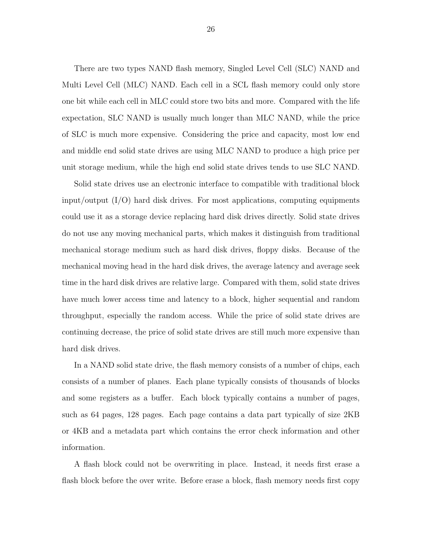There are two types NAND flash memory, Singled Level Cell (SLC) NAND and Multi Level Cell (MLC) NAND. Each cell in a SCL flash memory could only store one bit while each cell in MLC could store two bits and more. Compared with the life expectation, SLC NAND is usually much longer than MLC NAND, while the price of SLC is much more expensive. Considering the price and capacity, most low end and middle end solid state drives are using MLC NAND to produce a high price per unit storage medium, while the high end solid state drives tends to use SLC NAND.

Solid state drives use an electronic interface to compatible with traditional block input/output (I/O) hard disk drives. For most applications, computing equipments could use it as a storage device replacing hard disk drives directly. Solid state drives do not use any moving mechanical parts, which makes it distinguish from traditional mechanical storage medium such as hard disk drives, floppy disks. Because of the mechanical moving head in the hard disk drives, the average latency and average seek time in the hard disk drives are relative large. Compared with them, solid state drives have much lower access time and latency to a block, higher sequential and random throughput, especially the random access. While the price of solid state drives are continuing decrease, the price of solid state drives are still much more expensive than hard disk drives.

In a NAND solid state drive, the flash memory consists of a number of chips, each consists of a number of planes. Each plane typically consists of thousands of blocks and some registers as a buffer. Each block typically contains a number of pages, such as 64 pages, 128 pages. Each page contains a data part typically of size 2KB or 4KB and a metadata part which contains the error check information and other information.

A flash block could not be overwriting in place. Instead, it needs first erase a flash block before the over write. Before erase a block, flash memory needs first copy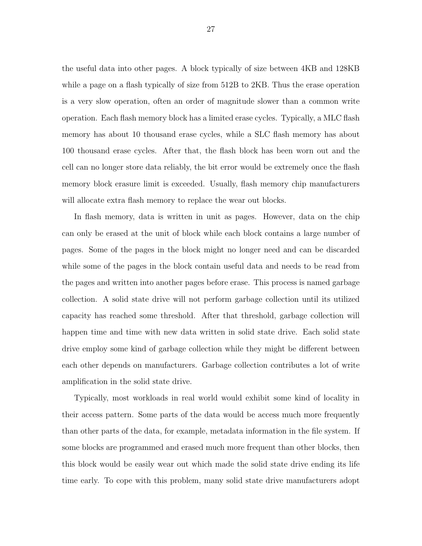the useful data into other pages. A block typically of size between 4KB and 128KB while a page on a flash typically of size from 512B to 2KB. Thus the erase operation is a very slow operation, often an order of magnitude slower than a common write operation. Each flash memory block has a limited erase cycles. Typically, a MLC flash memory has about 10 thousand erase cycles, while a SLC flash memory has about 100 thousand erase cycles. After that, the flash block has been worn out and the cell can no longer store data reliably, the bit error would be extremely once the flash memory block erasure limit is exceeded. Usually, flash memory chip manufacturers will allocate extra flash memory to replace the wear out blocks.

In flash memory, data is written in unit as pages. However, data on the chip can only be erased at the unit of block while each block contains a large number of pages. Some of the pages in the block might no longer need and can be discarded while some of the pages in the block contain useful data and needs to be read from the pages and written into another pages before erase. This process is named garbage collection. A solid state drive will not perform garbage collection until its utilized capacity has reached some threshold. After that threshold, garbage collection will happen time and time with new data written in solid state drive. Each solid state drive employ some kind of garbage collection while they might be different between each other depends on manufacturers. Garbage collection contributes a lot of write amplification in the solid state drive.

Typically, most workloads in real world would exhibit some kind of locality in their access pattern. Some parts of the data would be access much more frequently than other parts of the data, for example, metadata information in the file system. If some blocks are programmed and erased much more frequent than other blocks, then this block would be easily wear out which made the solid state drive ending its life time early. To cope with this problem, many solid state drive manufacturers adopt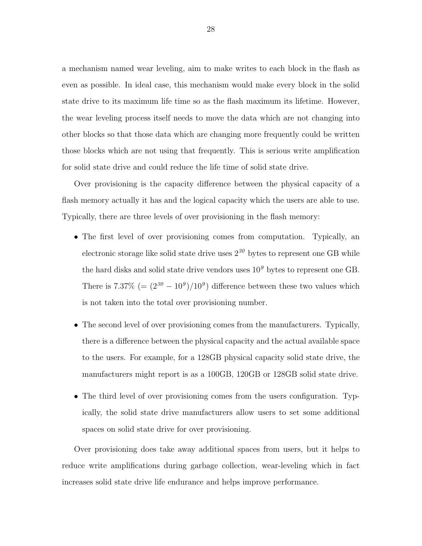a mechanism named wear leveling, aim to make writes to each block in the flash as even as possible. In ideal case, this mechanism would make every block in the solid state drive to its maximum life time so as the flash maximum its lifetime. However, the wear leveling process itself needs to move the data which are not changing into other blocks so that those data which are changing more frequently could be written those blocks which are not using that frequently. This is serious write amplification for solid state drive and could reduce the life time of solid state drive.

Over provisioning is the capacity difference between the physical capacity of a flash memory actually it has and the logical capacity which the users are able to use. Typically, there are three levels of over provisioning in the flash memory:

- The first level of over provisioning comes from computation. Typically, an electronic storage like solid state drive uses  $2^{30}$  bytes to represent one GB while the hard disks and solid state drive vendors uses  $10<sup>9</sup>$  bytes to represent one GB. There is 7.37\%  $(=(2^{30}-10^{9})/10^{9})$  difference between these two values which is not taken into the total over provisioning number.
- The second level of over provisioning comes from the manufacturers. Typically, there is a difference between the physical capacity and the actual available space to the users. For example, for a 128GB physical capacity solid state drive, the manufacturers might report is as a 100GB, 120GB or 128GB solid state drive.
- The third level of over provisioning comes from the users configuration. Typically, the solid state drive manufacturers allow users to set some additional spaces on solid state drive for over provisioning.

Over provisioning does take away additional spaces from users, but it helps to reduce write amplifications during garbage collection, wear-leveling which in fact increases solid state drive life endurance and helps improve performance.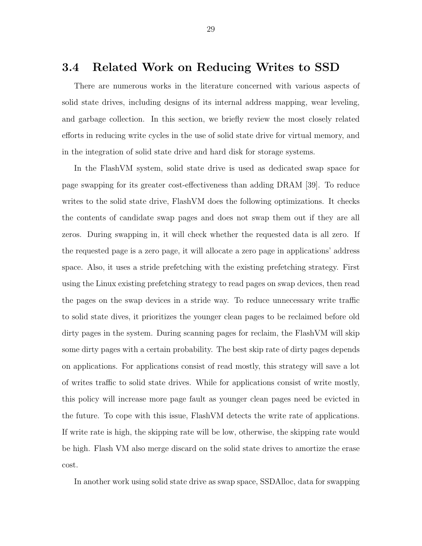#### 3.4 Related Work on Reducing Writes to SSD

There are numerous works in the literature concerned with various aspects of solid state drives, including designs of its internal address mapping, wear leveling, and garbage collection. In this section, we briefly review the most closely related efforts in reducing write cycles in the use of solid state drive for virtual memory, and in the integration of solid state drive and hard disk for storage systems.

In the FlashVM system, solid state drive is used as dedicated swap space for page swapping for its greater cost-effectiveness than adding DRAM [39]. To reduce writes to the solid state drive, FlashVM does the following optimizations. It checks the contents of candidate swap pages and does not swap them out if they are all zeros. During swapping in, it will check whether the requested data is all zero. If the requested page is a zero page, it will allocate a zero page in applications' address space. Also, it uses a stride prefetching with the existing prefetching strategy. First using the Linux existing prefetching strategy to read pages on swap devices, then read the pages on the swap devices in a stride way. To reduce unnecessary write traffic to solid state dives, it prioritizes the younger clean pages to be reclaimed before old dirty pages in the system. During scanning pages for reclaim, the FlashVM will skip some dirty pages with a certain probability. The best skip rate of dirty pages depends on applications. For applications consist of read mostly, this strategy will save a lot of writes traffic to solid state drives. While for applications consist of write mostly, this policy will increase more page fault as younger clean pages need be evicted in the future. To cope with this issue, FlashVM detects the write rate of applications. If write rate is high, the skipping rate will be low, otherwise, the skipping rate would be high. Flash VM also merge discard on the solid state drives to amortize the erase cost.

In another work using solid state drive as swap space, SSDAlloc, data for swapping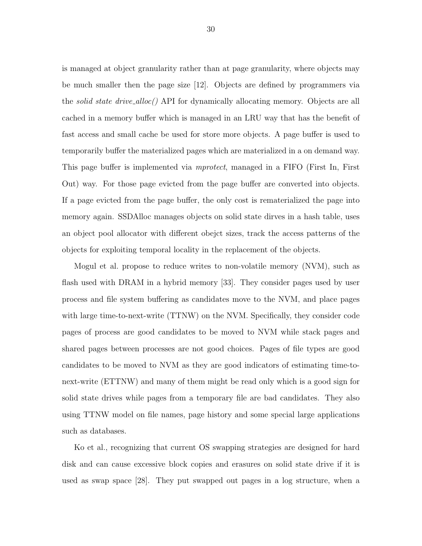is managed at object granularity rather than at page granularity, where objects may be much smaller then the page size [12]. Objects are defined by programmers via the *solid state drive\_alloc()* API for dynamically allocating memory. Objects are all cached in a memory buffer which is managed in an LRU way that has the benefit of fast access and small cache be used for store more objects. A page buffer is used to temporarily buffer the materialized pages which are materialized in a on demand way. This page buffer is implemented via mprotect, managed in a FIFO (First In, First Out) way. For those page evicted from the page buffer are converted into objects. If a page evicted from the page buffer, the only cost is rematerialized the page into memory again. SSDAlloc manages objects on solid state dirves in a hash table, uses an object pool allocator with different obejct sizes, track the access patterns of the objects for exploiting temporal locality in the replacement of the objects.

Mogul et al. propose to reduce writes to non-volatile memory (NVM), such as flash used with DRAM in a hybrid memory [33]. They consider pages used by user process and file system buffering as candidates move to the NVM, and place pages with large time-to-next-write (TTNW) on the NVM. Specifically, they consider code pages of process are good candidates to be moved to NVM while stack pages and shared pages between processes are not good choices. Pages of file types are good candidates to be moved to NVM as they are good indicators of estimating time-tonext-write (ETTNW) and many of them might be read only which is a good sign for solid state drives while pages from a temporary file are bad candidates. They also using TTNW model on file names, page history and some special large applications such as databases.

Ko et al., recognizing that current OS swapping strategies are designed for hard disk and can cause excessive block copies and erasures on solid state drive if it is used as swap space [28]. They put swapped out pages in a log structure, when a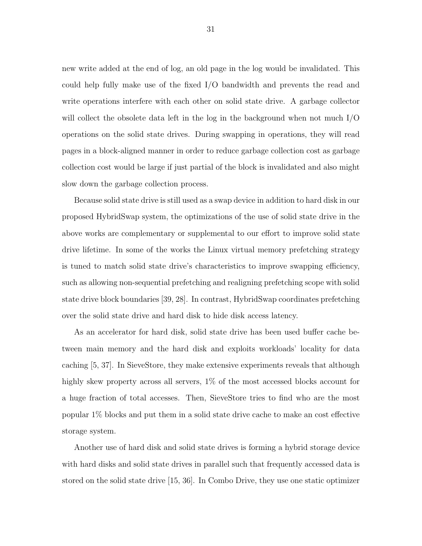new write added at the end of log, an old page in the log would be invalidated. This could help fully make use of the fixed I/O bandwidth and prevents the read and write operations interfere with each other on solid state drive. A garbage collector will collect the obsolete data left in the log in the background when not much I/O operations on the solid state drives. During swapping in operations, they will read pages in a block-aligned manner in order to reduce garbage collection cost as garbage collection cost would be large if just partial of the block is invalidated and also might slow down the garbage collection process.

Because solid state drive is still used as a swap device in addition to hard disk in our proposed HybridSwap system, the optimizations of the use of solid state drive in the above works are complementary or supplemental to our effort to improve solid state drive lifetime. In some of the works the Linux virtual memory prefetching strategy is tuned to match solid state drive's characteristics to improve swapping efficiency, such as allowing non-sequential prefetching and realigning prefetching scope with solid state drive block boundaries [39, 28]. In contrast, HybridSwap coordinates prefetching over the solid state drive and hard disk to hide disk access latency.

As an accelerator for hard disk, solid state drive has been used buffer cache between main memory and the hard disk and exploits workloads' locality for data caching [5, 37]. In SieveStore, they make extensive experiments reveals that although highly skew property across all servers,  $1\%$  of the most accessed blocks account for a huge fraction of total accesses. Then, SieveStore tries to find who are the most popular 1% blocks and put them in a solid state drive cache to make an cost effective storage system.

Another use of hard disk and solid state drives is forming a hybrid storage device with hard disks and solid state drives in parallel such that frequently accessed data is stored on the solid state drive [15, 36]. In Combo Drive, they use one static optimizer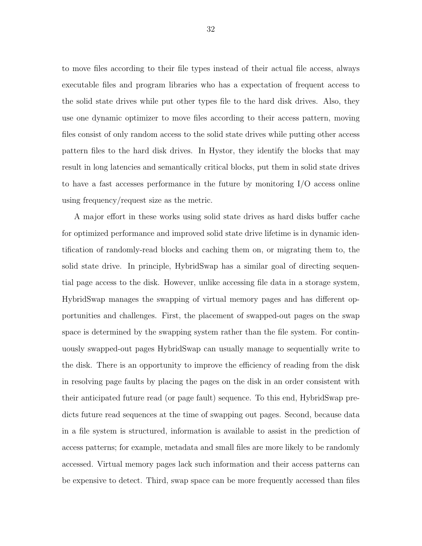to move files according to their file types instead of their actual file access, always executable files and program libraries who has a expectation of frequent access to the solid state drives while put other types file to the hard disk drives. Also, they use one dynamic optimizer to move files according to their access pattern, moving files consist of only random access to the solid state drives while putting other access pattern files to the hard disk drives. In Hystor, they identify the blocks that may result in long latencies and semantically critical blocks, put them in solid state drives to have a fast accesses performance in the future by monitoring I/O access online using frequency/request size as the metric.

A major effort in these works using solid state drives as hard disks buffer cache for optimized performance and improved solid state drive lifetime is in dynamic identification of randomly-read blocks and caching them on, or migrating them to, the solid state drive. In principle, HybridSwap has a similar goal of directing sequential page access to the disk. However, unlike accessing file data in a storage system, HybridSwap manages the swapping of virtual memory pages and has different opportunities and challenges. First, the placement of swapped-out pages on the swap space is determined by the swapping system rather than the file system. For continuously swapped-out pages HybridSwap can usually manage to sequentially write to the disk. There is an opportunity to improve the efficiency of reading from the disk in resolving page faults by placing the pages on the disk in an order consistent with their anticipated future read (or page fault) sequence. To this end, HybridSwap predicts future read sequences at the time of swapping out pages. Second, because data in a file system is structured, information is available to assist in the prediction of access patterns; for example, metadata and small files are more likely to be randomly accessed. Virtual memory pages lack such information and their access patterns can be expensive to detect. Third, swap space can be more frequently accessed than files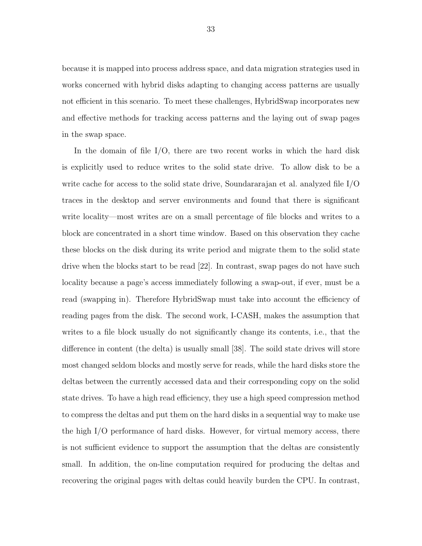because it is mapped into process address space, and data migration strategies used in works concerned with hybrid disks adapting to changing access patterns are usually not efficient in this scenario. To meet these challenges, HybridSwap incorporates new and effective methods for tracking access patterns and the laying out of swap pages in the swap space.

In the domain of file  $I/O$ , there are two recent works in which the hard disk is explicitly used to reduce writes to the solid state drive. To allow disk to be a write cache for access to the solid state drive, Soundararajan et al. analyzed file I/O traces in the desktop and server environments and found that there is significant write locality—most writes are on a small percentage of file blocks and writes to a block are concentrated in a short time window. Based on this observation they cache these blocks on the disk during its write period and migrate them to the solid state drive when the blocks start to be read [22]. In contrast, swap pages do not have such locality because a page's access immediately following a swap-out, if ever, must be a read (swapping in). Therefore HybridSwap must take into account the efficiency of reading pages from the disk. The second work, I-CASH, makes the assumption that writes to a file block usually do not significantly change its contents, i.e., that the difference in content (the delta) is usually small [38]. The soild state drives will store most changed seldom blocks and mostly serve for reads, while the hard disks store the deltas between the currently accessed data and their corresponding copy on the solid state drives. To have a high read efficiency, they use a high speed compression method to compress the deltas and put them on the hard disks in a sequential way to make use the high I/O performance of hard disks. However, for virtual memory access, there is not sufficient evidence to support the assumption that the deltas are consistently small. In addition, the on-line computation required for producing the deltas and recovering the original pages with deltas could heavily burden the CPU. In contrast,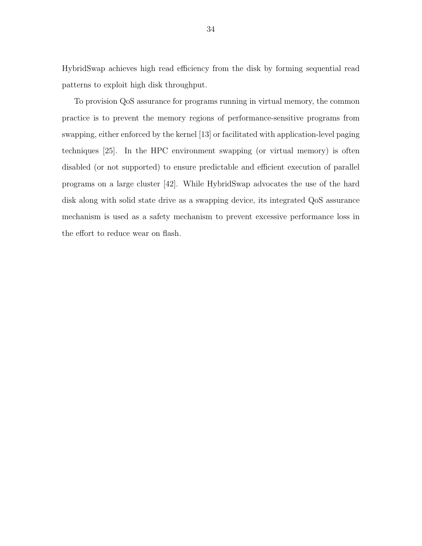HybridSwap achieves high read efficiency from the disk by forming sequential read patterns to exploit high disk throughput.

To provision QoS assurance for programs running in virtual memory, the common practice is to prevent the memory regions of performance-sensitive programs from swapping, either enforced by the kernel [13] or facilitated with application-level paging techniques [25]. In the HPC environment swapping (or virtual memory) is often disabled (or not supported) to ensure predictable and efficient execution of parallel programs on a large cluster [42]. While HybridSwap advocates the use of the hard disk along with solid state drive as a swapping device, its integrated QoS assurance mechanism is used as a safety mechanism to prevent excessive performance loss in the effort to reduce wear on flash.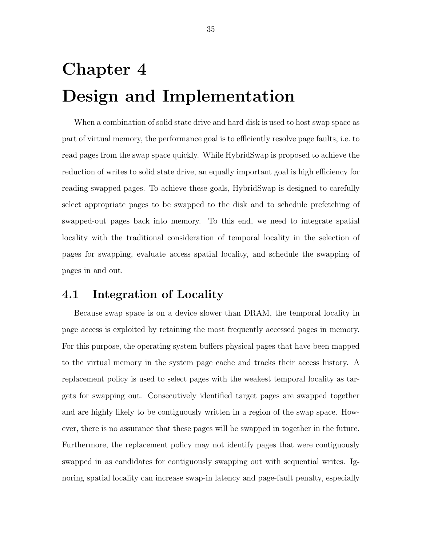# Chapter 4 Design and Implementation

When a combination of solid state drive and hard disk is used to host swap space as part of virtual memory, the performance goal is to efficiently resolve page faults, i.e. to read pages from the swap space quickly. While HybridSwap is proposed to achieve the reduction of writes to solid state drive, an equally important goal is high efficiency for reading swapped pages. To achieve these goals, HybridSwap is designed to carefully select appropriate pages to be swapped to the disk and to schedule prefetching of swapped-out pages back into memory. To this end, we need to integrate spatial locality with the traditional consideration of temporal locality in the selection of pages for swapping, evaluate access spatial locality, and schedule the swapping of pages in and out.

#### 4.1 Integration of Locality

Because swap space is on a device slower than DRAM, the temporal locality in page access is exploited by retaining the most frequently accessed pages in memory. For this purpose, the operating system buffers physical pages that have been mapped to the virtual memory in the system page cache and tracks their access history. A replacement policy is used to select pages with the weakest temporal locality as targets for swapping out. Consecutively identified target pages are swapped together and are highly likely to be contiguously written in a region of the swap space. However, there is no assurance that these pages will be swapped in together in the future. Furthermore, the replacement policy may not identify pages that were contiguously swapped in as candidates for contiguously swapping out with sequential writes. Ignoring spatial locality can increase swap-in latency and page-fault penalty, especially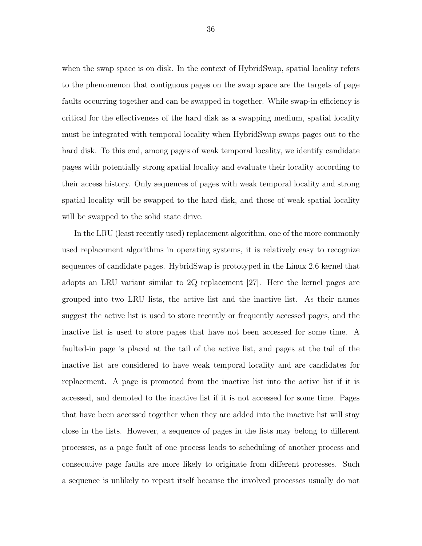when the swap space is on disk. In the context of HybridSwap, spatial locality refers to the phenomenon that contiguous pages on the swap space are the targets of page faults occurring together and can be swapped in together. While swap-in efficiency is critical for the effectiveness of the hard disk as a swapping medium, spatial locality must be integrated with temporal locality when HybridSwap swaps pages out to the hard disk. To this end, among pages of weak temporal locality, we identify candidate pages with potentially strong spatial locality and evaluate their locality according to their access history. Only sequences of pages with weak temporal locality and strong spatial locality will be swapped to the hard disk, and those of weak spatial locality will be swapped to the solid state drive.

In the LRU (least recently used) replacement algorithm, one of the more commonly used replacement algorithms in operating systems, it is relatively easy to recognize sequences of candidate pages. HybridSwap is prototyped in the Linux 2.6 kernel that adopts an LRU variant similar to 2Q replacement [27]. Here the kernel pages are grouped into two LRU lists, the active list and the inactive list. As their names suggest the active list is used to store recently or frequently accessed pages, and the inactive list is used to store pages that have not been accessed for some time. A faulted-in page is placed at the tail of the active list, and pages at the tail of the inactive list are considered to have weak temporal locality and are candidates for replacement. A page is promoted from the inactive list into the active list if it is accessed, and demoted to the inactive list if it is not accessed for some time. Pages that have been accessed together when they are added into the inactive list will stay close in the lists. However, a sequence of pages in the lists may belong to different processes, as a page fault of one process leads to scheduling of another process and consecutive page faults are more likely to originate from different processes. Such a sequence is unlikely to repeat itself because the involved processes usually do not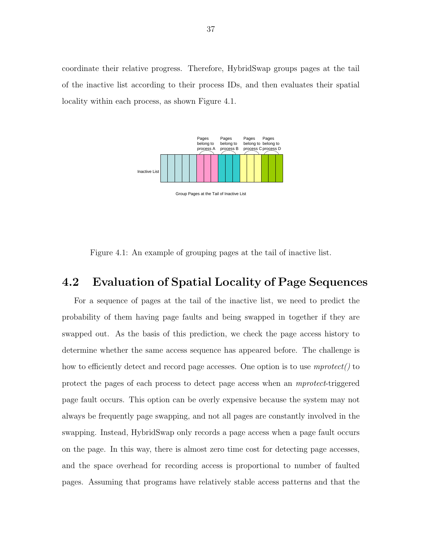coordinate their relative progress. Therefore, HybridSwap groups pages at the tail of the inactive list according to their process IDs, and then evaluates their spatial locality within each process, as shown Figure 4.1.



Figure 4.1: An example of grouping pages at the tail of inactive list.

# 4.2 Evaluation of Spatial Locality of Page Sequences

For a sequence of pages at the tail of the inactive list, we need to predict the probability of them having page faults and being swapped in together if they are swapped out. As the basis of this prediction, we check the page access history to determine whether the same access sequence has appeared before. The challenge is how to efficiently detect and record page accesses. One option is to use  $mprotect()$  to protect the pages of each process to detect page access when an mprotect-triggered page fault occurs. This option can be overly expensive because the system may not always be frequently page swapping, and not all pages are constantly involved in the swapping. Instead, HybridSwap only records a page access when a page fault occurs on the page. In this way, there is almost zero time cost for detecting page accesses, and the space overhead for recording access is proportional to number of faulted pages. Assuming that programs have relatively stable access patterns and that the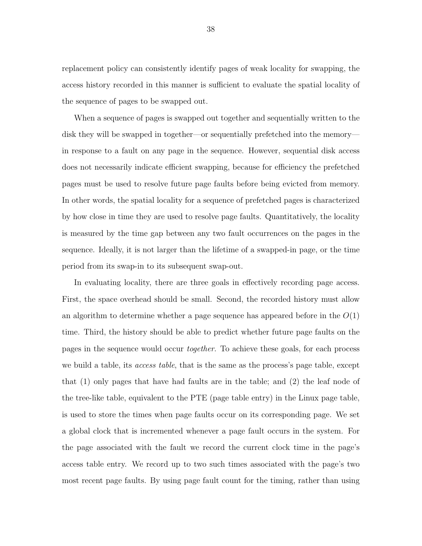replacement policy can consistently identify pages of weak locality for swapping, the access history recorded in this manner is sufficient to evaluate the spatial locality of the sequence of pages to be swapped out.

When a sequence of pages is swapped out together and sequentially written to the disk they will be swapped in together—or sequentially prefetched into the memory in response to a fault on any page in the sequence. However, sequential disk access does not necessarily indicate efficient swapping, because for efficiency the prefetched pages must be used to resolve future page faults before being evicted from memory. In other words, the spatial locality for a sequence of prefetched pages is characterized by how close in time they are used to resolve page faults. Quantitatively, the locality is measured by the time gap between any two fault occurrences on the pages in the sequence. Ideally, it is not larger than the lifetime of a swapped-in page, or the time period from its swap-in to its subsequent swap-out.

In evaluating locality, there are three goals in effectively recording page access. First, the space overhead should be small. Second, the recorded history must allow an algorithm to determine whether a page sequence has appeared before in the  $O(1)$ time. Third, the history should be able to predict whether future page faults on the pages in the sequence would occur together. To achieve these goals, for each process we build a table, its *access table*, that is the same as the process's page table, except that (1) only pages that have had faults are in the table; and (2) the leaf node of the tree-like table, equivalent to the PTE (page table entry) in the Linux page table, is used to store the times when page faults occur on its corresponding page. We set a global clock that is incremented whenever a page fault occurs in the system. For the page associated with the fault we record the current clock time in the page's access table entry. We record up to two such times associated with the page's two most recent page faults. By using page fault count for the timing, rather than using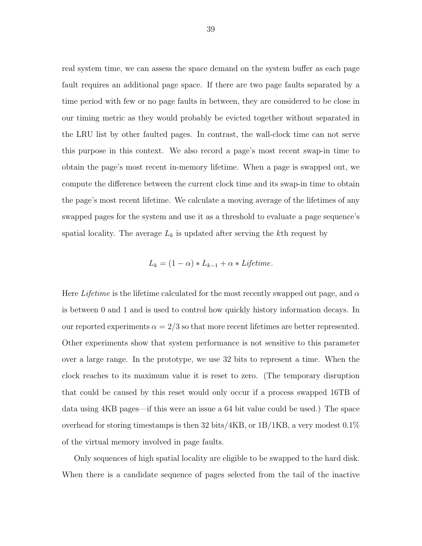real system time, we can assess the space demand on the system buffer as each page fault requires an additional page space. If there are two page faults separated by a time period with few or no page faults in between, they are considered to be close in our timing metric as they would probably be evicted together without separated in the LRU list by other faulted pages. In contrast, the wall-clock time can not serve this purpose in this context. We also record a page's most recent swap-in time to obtain the page's most recent in-memory lifetime. When a page is swapped out, we compute the difference between the current clock time and its swap-in time to obtain the page's most recent lifetime. We calculate a moving average of the lifetimes of any swapped pages for the system and use it as a threshold to evaluate a page sequence's spatial locality. The average  $L_k$  is updated after serving the kth request by

$$
L_k = (1 - \alpha) * L_{k-1} + \alpha * \text{Lifetime}.
$$

Here Lifetime is the lifetime calculated for the most recently swapped out page, and  $\alpha$ is between 0 and 1 and is used to control how quickly history information decays. In our reported experiments  $\alpha = 2/3$  so that more recent lifetimes are better represented. Other experiments show that system performance is not sensitive to this parameter over a large range. In the prototype, we use 32 bits to represent a time. When the clock reaches to its maximum value it is reset to zero. (The temporary disruption that could be caused by this reset would only occur if a process swapped 16TB of data using 4KB pages—if this were an issue a 64 bit value could be used.) The space overhead for storing timestamps is then 32 bits/ $4KB$ , or  $1B/1KB$ , a very modest  $0.1\%$ of the virtual memory involved in page faults.

Only sequences of high spatial locality are eligible to be swapped to the hard disk. When there is a candidate sequence of pages selected from the tail of the inactive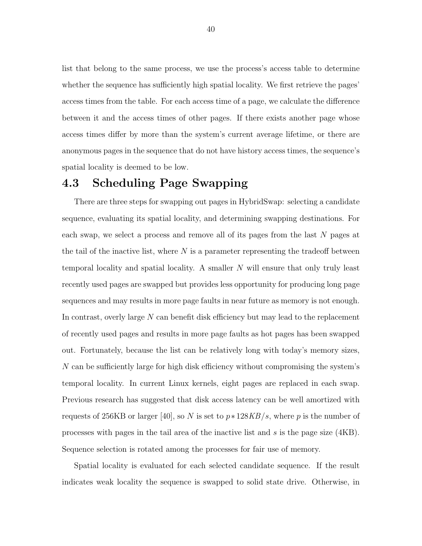list that belong to the same process, we use the process's access table to determine whether the sequence has sufficiently high spatial locality. We first retrieve the pages' access times from the table. For each access time of a page, we calculate the difference between it and the access times of other pages. If there exists another page whose access times differ by more than the system's current average lifetime, or there are anonymous pages in the sequence that do not have history access times, the sequence's spatial locality is deemed to be low.

# 4.3 Scheduling Page Swapping

There are three steps for swapping out pages in HybridSwap: selecting a candidate sequence, evaluating its spatial locality, and determining swapping destinations. For each swap, we select a process and remove all of its pages from the last N pages at the tail of the inactive list, where  $N$  is a parameter representing the tradeoff between temporal locality and spatial locality. A smaller N will ensure that only truly least recently used pages are swapped but provides less opportunity for producing long page sequences and may results in more page faults in near future as memory is not enough. In contrast, overly large N can benefit disk efficiency but may lead to the replacement of recently used pages and results in more page faults as hot pages has been swapped out. Fortunately, because the list can be relatively long with today's memory sizes, N can be sufficiently large for high disk efficiency without compromising the system's temporal locality. In current Linux kernels, eight pages are replaced in each swap. Previous research has suggested that disk access latency can be well amortized with requests of 256KB or larger [40], so N is set to  $p*128KB/s$ , where p is the number of processes with pages in the tail area of the inactive list and s is the page size (4KB). Sequence selection is rotated among the processes for fair use of memory.

Spatial locality is evaluated for each selected candidate sequence. If the result indicates weak locality the sequence is swapped to solid state drive. Otherwise, in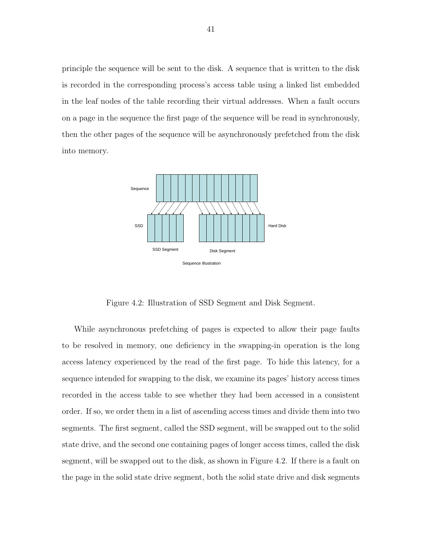principle the sequence will be sent to the disk. A sequence that is written to the disk is recorded in the corresponding process's access table using a linked list embedded in the leaf nodes of the table recording their virtual addresses. When a fault occurs on a page in the sequence the first page of the sequence will be read in synchronously, then the other pages of the sequence will be asynchronously prefetched from the disk into memory.



Figure 4.2: Illustration of SSD Segment and Disk Segment.

While asynchronous prefetching of pages is expected to allow their page faults to be resolved in memory, one deficiency in the swapping-in operation is the long access latency experienced by the read of the first page. To hide this latency, for a sequence intended for swapping to the disk, we examine its pages' history access times recorded in the access table to see whether they had been accessed in a consistent order. If so, we order them in a list of ascending access times and divide them into two segments. The first segment, called the SSD segment, will be swapped out to the solid state drive, and the second one containing pages of longer access times, called the disk segment, will be swapped out to the disk, as shown in Figure 4.2. If there is a fault on the page in the solid state drive segment, both the solid state drive and disk segments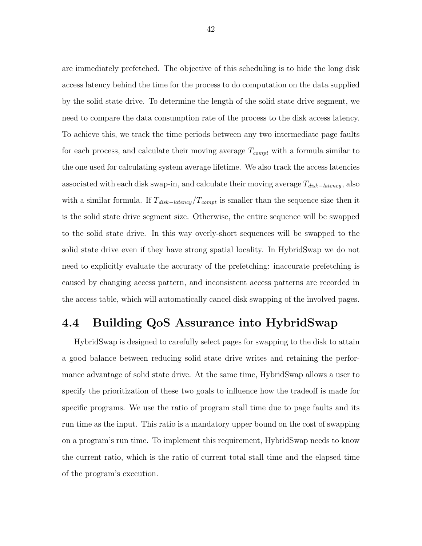are immediately prefetched. The objective of this scheduling is to hide the long disk access latency behind the time for the process to do computation on the data supplied by the solid state drive. To determine the length of the solid state drive segment, we need to compare the data consumption rate of the process to the disk access latency. To achieve this, we track the time periods between any two intermediate page faults for each process, and calculate their moving average  $T_{compt}$  with a formula similar to the one used for calculating system average lifetime. We also track the access latencies associated with each disk swap-in, and calculate their moving average  $T_{disk-latency}$ , also with a similar formula. If  $T_{disk-latency}/T_{compt}$  is smaller than the sequence size then it is the solid state drive segment size. Otherwise, the entire sequence will be swapped to the solid state drive. In this way overly-short sequences will be swapped to the solid state drive even if they have strong spatial locality. In HybridSwap we do not need to explicitly evaluate the accuracy of the prefetching: inaccurate prefetching is caused by changing access pattern, and inconsistent access patterns are recorded in the access table, which will automatically cancel disk swapping of the involved pages.

### 4.4 Building QoS Assurance into HybridSwap

HybridSwap is designed to carefully select pages for swapping to the disk to attain a good balance between reducing solid state drive writes and retaining the performance advantage of solid state drive. At the same time, HybridSwap allows a user to specify the prioritization of these two goals to influence how the tradeoff is made for specific programs. We use the ratio of program stall time due to page faults and its run time as the input. This ratio is a mandatory upper bound on the cost of swapping on a program's run time. To implement this requirement, HybridSwap needs to know the current ratio, which is the ratio of current total stall time and the elapsed time of the program's execution.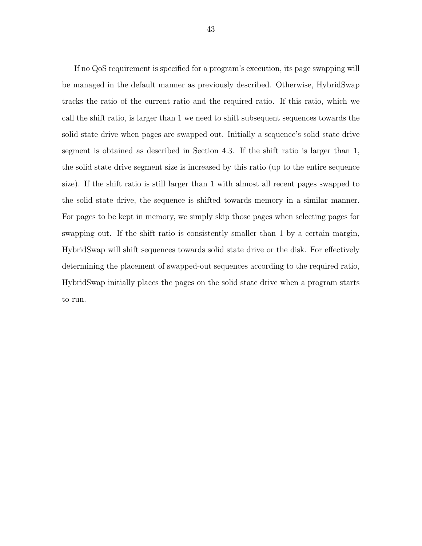If no QoS requirement is specified for a program's execution, its page swapping will be managed in the default manner as previously described. Otherwise, HybridSwap tracks the ratio of the current ratio and the required ratio. If this ratio, which we call the shift ratio, is larger than 1 we need to shift subsequent sequences towards the solid state drive when pages are swapped out. Initially a sequence's solid state drive segment is obtained as described in Section 4.3. If the shift ratio is larger than 1, the solid state drive segment size is increased by this ratio (up to the entire sequence size). If the shift ratio is still larger than 1 with almost all recent pages swapped to the solid state drive, the sequence is shifted towards memory in a similar manner. For pages to be kept in memory, we simply skip those pages when selecting pages for swapping out. If the shift ratio is consistently smaller than 1 by a certain margin, HybridSwap will shift sequences towards solid state drive or the disk. For effectively determining the placement of swapped-out sequences according to the required ratio, HybridSwap initially places the pages on the solid state drive when a program starts to run.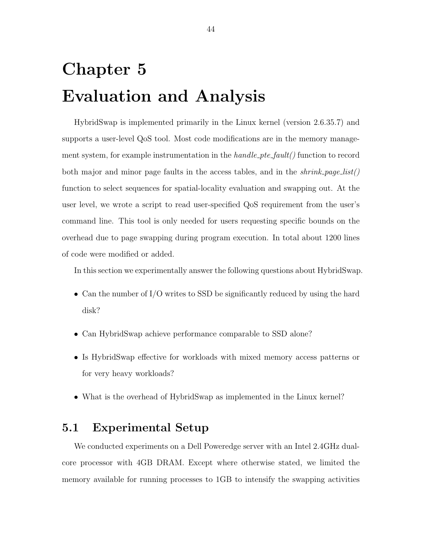# Chapter 5 Evaluation and Analysis

HybridSwap is implemented primarily in the Linux kernel (version 2.6.35.7) and supports a user-level QoS tool. Most code modifications are in the memory management system, for example instrumentation in the  $handle\_pte\_fault()$  function to record both major and minor page faults in the access tables, and in the  $shrink\_page\_list()$ function to select sequences for spatial-locality evaluation and swapping out. At the user level, we wrote a script to read user-specified QoS requirement from the user's command line. This tool is only needed for users requesting specific bounds on the overhead due to page swapping during program execution. In total about 1200 lines of code were modified or added.

In this section we experimentally answer the following questions about HybridSwap.

- Can the number of I/O writes to SSD be significantly reduced by using the hard disk?
- Can HybridSwap achieve performance comparable to SSD alone?
- Is HybridSwap effective for workloads with mixed memory access patterns or for very heavy workloads?
- What is the overhead of HybridSwap as implemented in the Linux kernel?

### 5.1 Experimental Setup

We conducted experiments on a Dell Poweredge server with an Intel 2.4GHz dualcore processor with 4GB DRAM. Except where otherwise stated, we limited the memory available for running processes to 1GB to intensify the swapping activities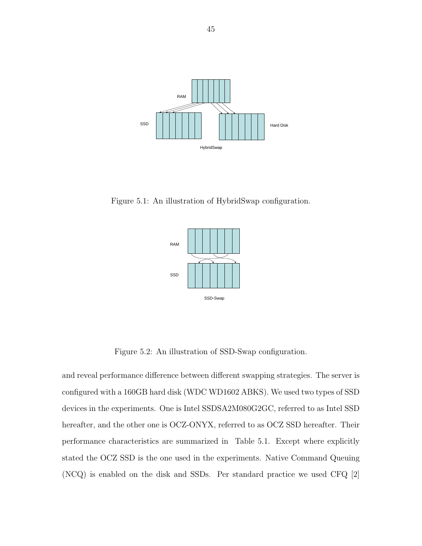

Figure 5.1: An illustration of HybridSwap configuration.



Figure 5.2: An illustration of SSD-Swap configuration.

and reveal performance difference between different swapping strategies. The server is configured with a 160GB hard disk (WDC WD1602 ABKS). We used two types of SSD devices in the experiments. One is Intel SSDSA2M080G2GC, referred to as Intel SSD hereafter, and the other one is OCZ-ONYX, referred to as OCZ SSD hereafter. Their performance characteristics are summarized in Table 5.1. Except where explicitly stated the OCZ SSD is the one used in the experiments. Native Command Queuing (NCQ) is enabled on the disk and SSDs. Per standard practice we used CFQ [2]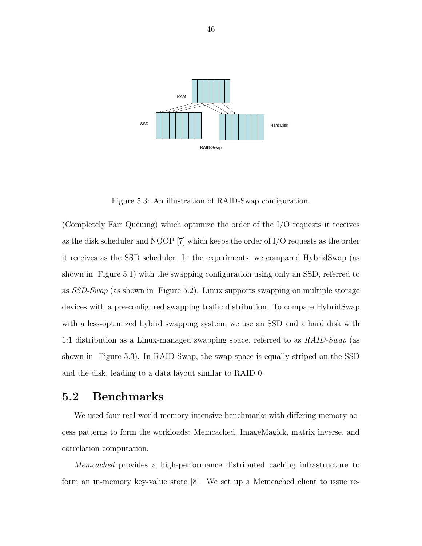

Figure 5.3: An illustration of RAID-Swap configuration.

(Completely Fair Queuing) which optimize the order of the I/O requests it receives as the disk scheduler and NOOP [7] which keeps the order of I/O requests as the order it receives as the SSD scheduler. In the experiments, we compared HybridSwap (as shown in Figure 5.1) with the swapping configuration using only an SSD, referred to as  $SSD-Swap$  (as shown in Figure 5.2). Linux supports swapping on multiple storage devices with a pre-configured swapping traffic distribution. To compare HybridSwap with a less-optimized hybrid swapping system, we use an SSD and a hard disk with 1:1 distribution as a Linux-managed swapping space, referred to as RAID-Swap (as shown in Figure 5.3). In RAID-Swap, the swap space is equally striped on the SSD and the disk, leading to a data layout similar to RAID 0.

### 5.2 Benchmarks

We used four real-world memory-intensive benchmarks with differing memory access patterns to form the workloads: Memcached, ImageMagick, matrix inverse, and correlation computation.

Memcached provides a high-performance distributed caching infrastructure to form an in-memory key-value store [8]. We set up a Memcached client to issue re-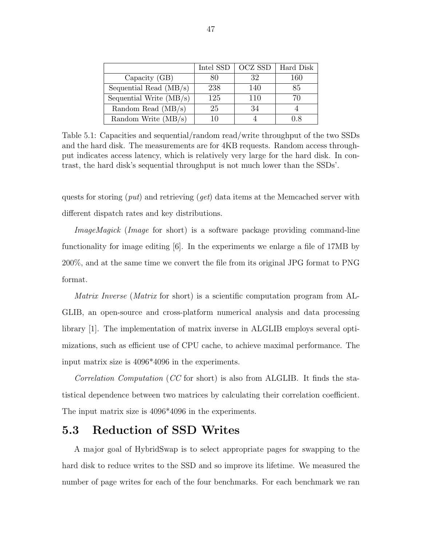|                           | Intel SSD | <b>OCZ SSD</b> | Hard Disk |
|---------------------------|-----------|----------------|-----------|
| Capacity $(GB)$           |           | 32             | 160       |
| Sequential Read $(MB/s)$  | 238       | 140            | 85        |
| Sequential Write $(MB/s)$ | 125       | 110            |           |
| Random Read $(MB/s)$      | 25        | 34             |           |
| Random Write (MB/s)       |           |                | 0 8       |

Table 5.1: Capacities and sequential/random read/write throughput of the two SSDs and the hard disk. The measurements are for 4KB requests. Random access throughput indicates access latency, which is relatively very large for the hard disk. In contrast, the hard disk's sequential throughput is not much lower than the SSDs'.

quests for storing  $(\text{put})$  and retrieving  $(\text{get})$  data items at the Memcached server with different dispatch rates and key distributions.

ImageMagick (Image for short) is a software package providing command-line functionality for image editing [6]. In the experiments we enlarge a file of 17MB by 200%, and at the same time we convert the file from its original JPG format to PNG format.

Matrix Inverse (Matrix for short) is a scientific computation program from AL-GLIB, an open-source and cross-platform numerical analysis and data processing library [1]. The implementation of matrix inverse in ALGLIB employs several optimizations, such as efficient use of CPU cache, to achieve maximal performance. The input matrix size is 4096\*4096 in the experiments.

Correlation Computation (CC for short) is also from ALGLIB. It finds the statistical dependence between two matrices by calculating their correlation coefficient. The input matrix size is 4096\*4096 in the experiments.

#### 5.3 Reduction of SSD Writes

A major goal of HybridSwap is to select appropriate pages for swapping to the hard disk to reduce writes to the SSD and so improve its lifetime. We measured the number of page writes for each of the four benchmarks. For each benchmark we ran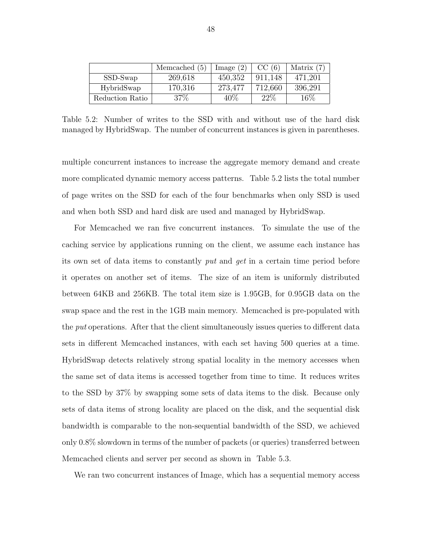|                 | Memcached $(5)$ | Image $(2)$ | CC(6)   | Matrix $(7)$ |
|-----------------|-----------------|-------------|---------|--------------|
| SSD-Swap        | 269,618         | 450,352     | 911.148 | 471,201      |
| HybridSwap      | 170,316         | 273,477     | 712,660 | 396,291      |
| Reduction Ratio | $37\%$          | 40%         | 22%     | 16\%         |

Table 5.2: Number of writes to the SSD with and without use of the hard disk managed by HybridSwap. The number of concurrent instances is given in parentheses.

multiple concurrent instances to increase the aggregate memory demand and create more complicated dynamic memory access patterns. Table 5.2 lists the total number of page writes on the SSD for each of the four benchmarks when only SSD is used and when both SSD and hard disk are used and managed by HybridSwap.

For Memcached we ran five concurrent instances. To simulate the use of the caching service by applications running on the client, we assume each instance has its own set of data items to constantly put and get in a certain time period before it operates on another set of items. The size of an item is uniformly distributed between 64KB and 256KB. The total item size is 1.95GB, for 0.95GB data on the swap space and the rest in the 1GB main memory. Memcached is pre-populated with the *put* operations. After that the client simultaneously issues queries to different data sets in different Memcached instances, with each set having 500 queries at a time. HybridSwap detects relatively strong spatial locality in the memory accesses when the same set of data items is accessed together from time to time. It reduces writes to the SSD by 37% by swapping some sets of data items to the disk. Because only sets of data items of strong locality are placed on the disk, and the sequential disk bandwidth is comparable to the non-sequential bandwidth of the SSD, we achieved only 0.8% slowdown in terms of the number of packets (or queries) transferred between Memcached clients and server per second as shown in Table 5.3.

We ran two concurrent instances of Image, which has a sequential memory access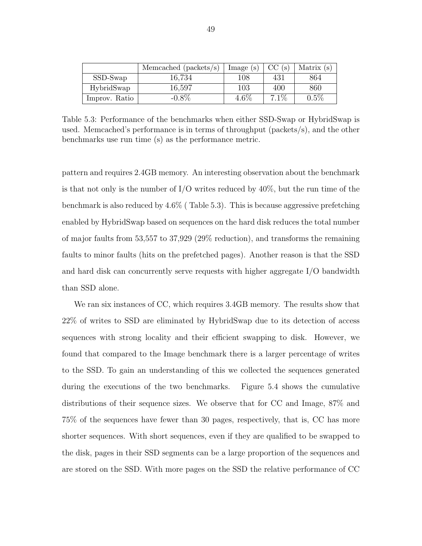|               | Memcached ( $packets/s$ ) | Image(s) | CC(s)   | Matrix $(s)$ |
|---------------|---------------------------|----------|---------|--------------|
| SSD-Swap      | 16.734                    | $108\,$  | 431     | 864          |
| HybridSwap    | 16,597                    | 103      | 400     | 860          |
| Improv. Ratio | $-0.8\%$                  | $4.6\%$  | $7.1\%$ | 0.5%         |

Table 5.3: Performance of the benchmarks when either SSD-Swap or HybridSwap is used. Memcached's performance is in terms of throughput (packets/s), and the other benchmarks use run time (s) as the performance metric.

pattern and requires 2.4GB memory. An interesting observation about the benchmark is that not only is the number of  $I/O$  writes reduced by  $40\%$ , but the run time of the benchmark is also reduced by 4.6% ( Table 5.3). This is because aggressive prefetching enabled by HybridSwap based on sequences on the hard disk reduces the total number of major faults from 53,557 to 37,929 (29% reduction), and transforms the remaining faults to minor faults (hits on the prefetched pages). Another reason is that the SSD and hard disk can concurrently serve requests with higher aggregate I/O bandwidth than SSD alone.

We ran six instances of CC, which requires 3.4GB memory. The results show that 22% of writes to SSD are eliminated by HybridSwap due to its detection of access sequences with strong locality and their efficient swapping to disk. However, we found that compared to the Image benchmark there is a larger percentage of writes to the SSD. To gain an understanding of this we collected the sequences generated during the executions of the two benchmarks. Figure 5.4 shows the cumulative distributions of their sequence sizes. We observe that for CC and Image, 87% and 75% of the sequences have fewer than 30 pages, respectively, that is, CC has more shorter sequences. With short sequences, even if they are qualified to be swapped to the disk, pages in their SSD segments can be a large proportion of the sequences and are stored on the SSD. With more pages on the SSD the relative performance of CC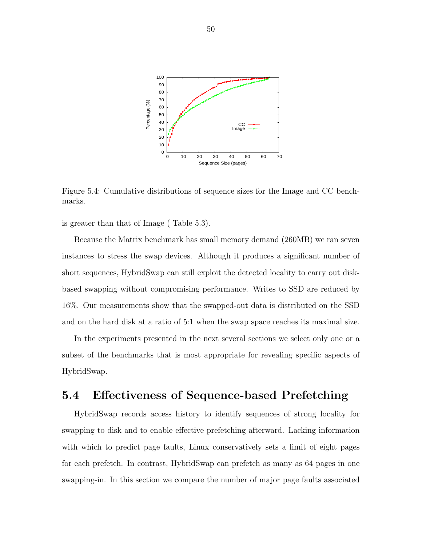

Figure 5.4: Cumulative distributions of sequence sizes for the Image and CC benchmarks.

is greater than that of Image ( Table 5.3).

Because the Matrix benchmark has small memory demand (260MB) we ran seven instances to stress the swap devices. Although it produces a significant number of short sequences, HybridSwap can still exploit the detected locality to carry out diskbased swapping without compromising performance. Writes to SSD are reduced by 16%. Our measurements show that the swapped-out data is distributed on the SSD and on the hard disk at a ratio of 5:1 when the swap space reaches its maximal size.

In the experiments presented in the next several sections we select only one or a subset of the benchmarks that is most appropriate for revealing specific aspects of HybridSwap.

#### 5.4 Effectiveness of Sequence-based Prefetching

HybridSwap records access history to identify sequences of strong locality for swapping to disk and to enable effective prefetching afterward. Lacking information with which to predict page faults, Linux conservatively sets a limit of eight pages for each prefetch. In contrast, HybridSwap can prefetch as many as 64 pages in one swapping-in. In this section we compare the number of major page faults associated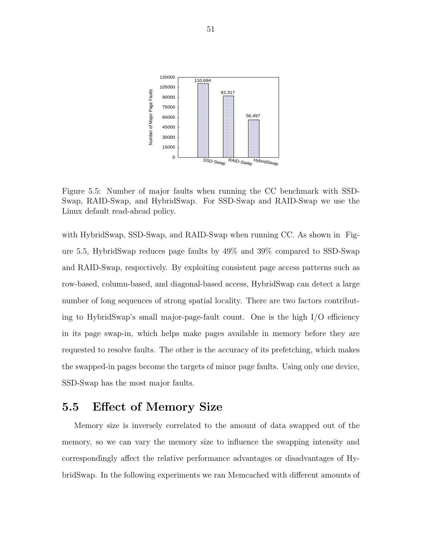

Figure 5.5: Number of major faults when running the CC benchmark with SSD-Swap, RAID-Swap, and HybridSwap. For SSD-Swap and RAID-Swap we use the Linux default read-ahead policy.

with HybridSwap, SSD-Swap, and RAID-Swap when running CC. As shown in Figure 5.5, HybridSwap reduces page faults by 49% and 39% compared to SSD-Swap and RAID-Swap, respectively. By exploiting consistent page access patterns such as row-based, column-based, and diagonal-based access, HybridSwap can detect a large number of long sequences of strong spatial locality. There are two factors contributing to HybridSwap's small major-page-fault count. One is the high I/O efficiency in its page swap-in, which helps make pages available in memory before they are requested to resolve faults. The other is the accuracy of its prefetching, which makes the swapped-in pages become the targets of minor page faults. Using only one device, SSD-Swap has the most major faults.

#### 5.5 Effect of Memory Size

Memory size is inversely correlated to the amount of data swapped out of the memory, so we can vary the memory size to influence the swapping intensity and correspondingly affect the relative performance advantages or disadvantages of HybridSwap. In the following experiments we ran Memcached with different amounts of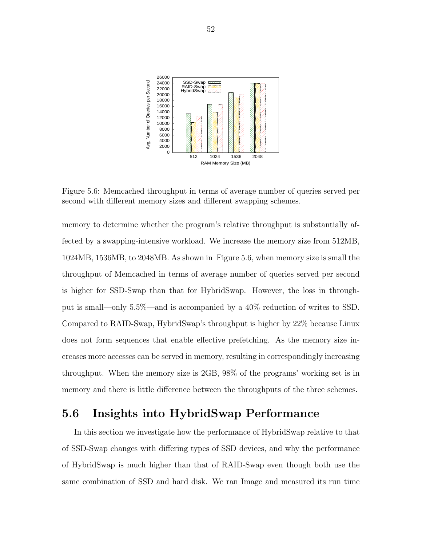

Figure 5.6: Memcached throughput in terms of average number of queries served per second with different memory sizes and different swapping schemes.

memory to determine whether the program's relative throughput is substantially affected by a swapping-intensive workload. We increase the memory size from 512MB, 1024MB, 1536MB, to 2048MB. As shown in Figure 5.6, when memory size is small the throughput of Memcached in terms of average number of queries served per second is higher for SSD-Swap than that for HybridSwap. However, the loss in throughput is small—only 5.5%—and is accompanied by a 40% reduction of writes to SSD. Compared to RAID-Swap, HybridSwap's throughput is higher by 22% because Linux does not form sequences that enable effective prefetching. As the memory size increases more accesses can be served in memory, resulting in correspondingly increasing throughput. When the memory size is 2GB, 98% of the programs' working set is in memory and there is little difference between the throughputs of the three schemes.

### 5.6 Insights into HybridSwap Performance

In this section we investigate how the performance of HybridSwap relative to that of SSD-Swap changes with differing types of SSD devices, and why the performance of HybridSwap is much higher than that of RAID-Swap even though both use the same combination of SSD and hard disk. We ran Image and measured its run time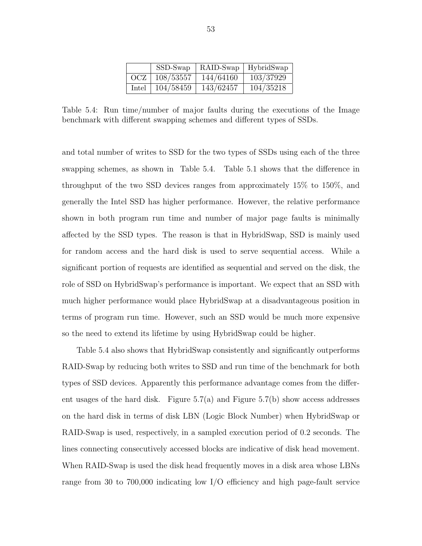|       | SSD-Swap  | RAID-Swap | HybridSwap |
|-------|-----------|-----------|------------|
| OCZ   | 108/53557 | 144/64160 | 103/37929  |
| Intel | 104/58459 | 143/62457 | 104/35218  |

Table 5.4: Run time/number of major faults during the executions of the Image benchmark with different swapping schemes and different types of SSDs.

and total number of writes to SSD for the two types of SSDs using each of the three swapping schemes, as shown in Table 5.4. Table 5.1 shows that the difference in throughput of the two SSD devices ranges from approximately 15% to 150%, and generally the Intel SSD has higher performance. However, the relative performance shown in both program run time and number of major page faults is minimally affected by the SSD types. The reason is that in HybridSwap, SSD is mainly used for random access and the hard disk is used to serve sequential access. While a significant portion of requests are identified as sequential and served on the disk, the role of SSD on HybridSwap's performance is important. We expect that an SSD with much higher performance would place HybridSwap at a disadvantageous position in terms of program run time. However, such an SSD would be much more expensive so the need to extend its lifetime by using HybridSwap could be higher.

Table 5.4 also shows that HybridSwap consistently and significantly outperforms RAID-Swap by reducing both writes to SSD and run time of the benchmark for both types of SSD devices. Apparently this performance advantage comes from the different usages of the hard disk. Figure  $5.7(a)$  and Figure  $5.7(b)$  show access addresses on the hard disk in terms of disk LBN (Logic Block Number) when HybridSwap or RAID-Swap is used, respectively, in a sampled execution period of 0.2 seconds. The lines connecting consecutively accessed blocks are indicative of disk head movement. When RAID-Swap is used the disk head frequently moves in a disk area whose LBNs range from 30 to 700,000 indicating low I/O efficiency and high page-fault service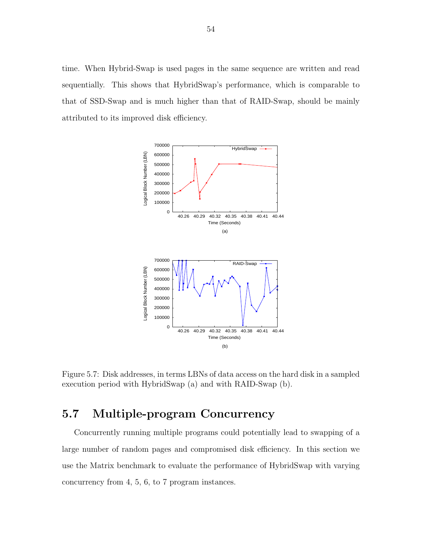time. When Hybrid-Swap is used pages in the same sequence are written and read sequentially. This shows that HybridSwap's performance, which is comparable to that of SSD-Swap and is much higher than that of RAID-Swap, should be mainly attributed to its improved disk efficiency.



Figure 5.7: Disk addresses, in terms LBNs of data access on the hard disk in a sampled execution period with HybridSwap (a) and with RAID-Swap (b).

# 5.7 Multiple-program Concurrency

Concurrently running multiple programs could potentially lead to swapping of a large number of random pages and compromised disk efficiency. In this section we use the Matrix benchmark to evaluate the performance of HybridSwap with varying concurrency from 4, 5, 6, to 7 program instances.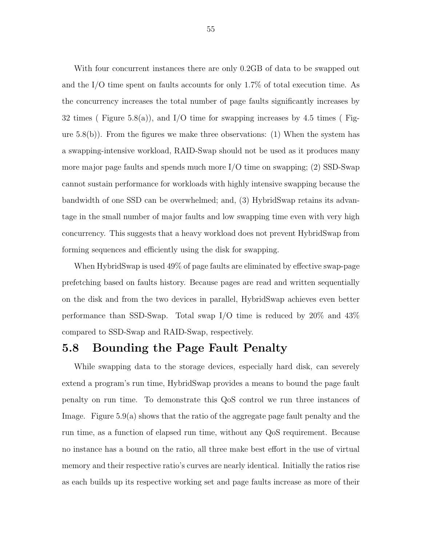With four concurrent instances there are only 0.2GB of data to be swapped out and the I/O time spent on faults accounts for only 1.7% of total execution time. As the concurrency increases the total number of page faults significantly increases by 32 times (Figure 5.8(a)), and I/O time for swapping increases by 4.5 times (Figure 5.8(b)). From the figures we make three observations: (1) When the system has a swapping-intensive workload, RAID-Swap should not be used as it produces many more major page faults and spends much more I/O time on swapping; (2) SSD-Swap cannot sustain performance for workloads with highly intensive swapping because the bandwidth of one SSD can be overwhelmed; and, (3) HybridSwap retains its advantage in the small number of major faults and low swapping time even with very high concurrency. This suggests that a heavy workload does not prevent HybridSwap from forming sequences and efficiently using the disk for swapping.

When HybridSwap is used 49% of page faults are eliminated by effective swap-page prefetching based on faults history. Because pages are read and written sequentially on the disk and from the two devices in parallel, HybridSwap achieves even better performance than SSD-Swap. Total swap I/O time is reduced by 20% and 43% compared to SSD-Swap and RAID-Swap, respectively.

#### 5.8 Bounding the Page Fault Penalty

While swapping data to the storage devices, especially hard disk, can severely extend a program's run time, HybridSwap provides a means to bound the page fault penalty on run time. To demonstrate this QoS control we run three instances of Image. Figure 5.9(a) shows that the ratio of the aggregate page fault penalty and the run time, as a function of elapsed run time, without any QoS requirement. Because no instance has a bound on the ratio, all three make best effort in the use of virtual memory and their respective ratio's curves are nearly identical. Initially the ratios rise as each builds up its respective working set and page faults increase as more of their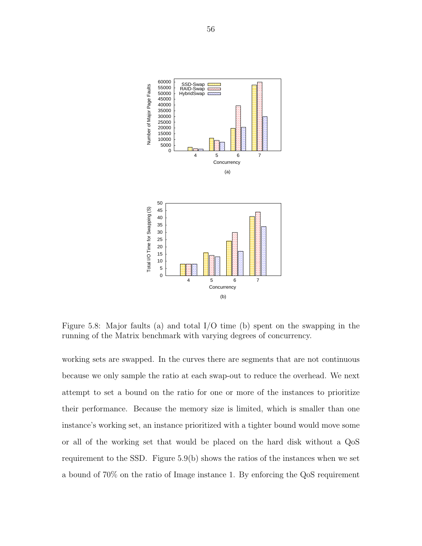

Figure 5.8: Major faults (a) and total I/O time (b) spent on the swapping in the running of the Matrix benchmark with varying degrees of concurrency.

working sets are swapped. In the curves there are segments that are not continuous because we only sample the ratio at each swap-out to reduce the overhead. We next attempt to set a bound on the ratio for one or more of the instances to prioritize their performance. Because the memory size is limited, which is smaller than one instance's working set, an instance prioritized with a tighter bound would move some or all of the working set that would be placed on the hard disk without a QoS requirement to the SSD. Figure 5.9(b) shows the ratios of the instances when we set a bound of 70% on the ratio of Image instance 1. By enforcing the QoS requirement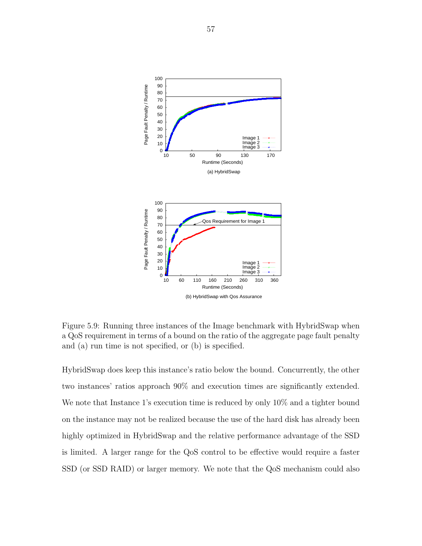

Figure 5.9: Running three instances of the Image benchmark with HybridSwap when a QoS requirement in terms of a bound on the ratio of the aggregate page fault penalty and (a) run time is not specified, or (b) is specified.

HybridSwap does keep this instance's ratio below the bound. Concurrently, the other two instances' ratios approach 90% and execution times are significantly extended. We note that Instance 1's execution time is reduced by only 10% and a tighter bound on the instance may not be realized because the use of the hard disk has already been highly optimized in HybridSwap and the relative performance advantage of the SSD is limited. A larger range for the QoS control to be effective would require a faster SSD (or SSD RAID) or larger memory. We note that the QoS mechanism could also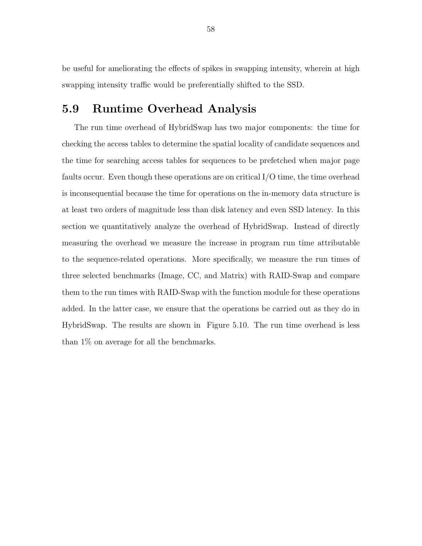be useful for ameliorating the effects of spikes in swapping intensity, wherein at high swapping intensity traffic would be preferentially shifted to the SSD.

#### 5.9 Runtime Overhead Analysis

The run time overhead of HybridSwap has two major components: the time for checking the access tables to determine the spatial locality of candidate sequences and the time for searching access tables for sequences to be prefetched when major page faults occur. Even though these operations are on critical I/O time, the time overhead is inconsequential because the time for operations on the in-memory data structure is at least two orders of magnitude less than disk latency and even SSD latency. In this section we quantitatively analyze the overhead of HybridSwap. Instead of directly measuring the overhead we measure the increase in program run time attributable to the sequence-related operations. More specifically, we measure the run times of three selected benchmarks (Image, CC, and Matrix) with RAID-Swap and compare them to the run times with RAID-Swap with the function module for these operations added. In the latter case, we ensure that the operations be carried out as they do in HybridSwap. The results are shown in Figure 5.10. The run time overhead is less than 1% on average for all the benchmarks.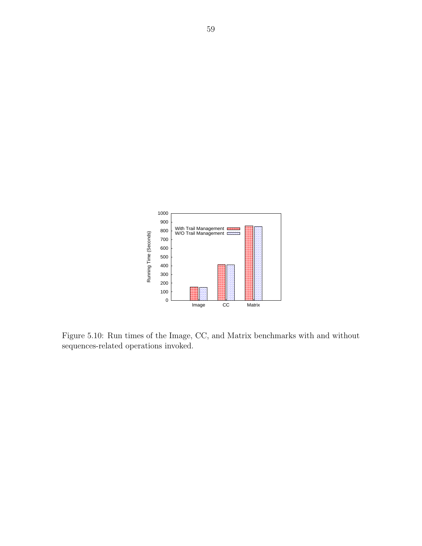

Figure 5.10: Run times of the Image, CC, and Matrix benchmarks with and without sequences-related operations invoked.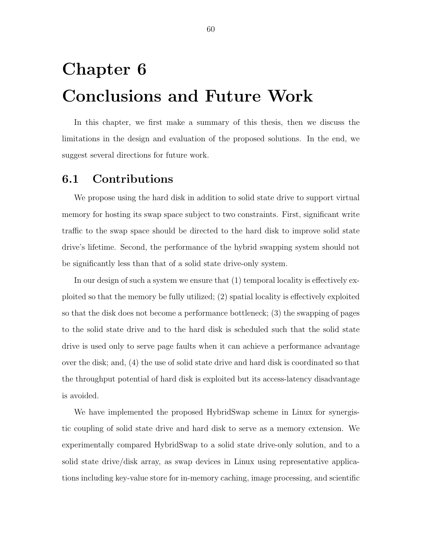# Chapter 6 Conclusions and Future Work

In this chapter, we first make a summary of this thesis, then we discuss the limitations in the design and evaluation of the proposed solutions. In the end, we suggest several directions for future work.

#### 6.1 Contributions

We propose using the hard disk in addition to solid state drive to support virtual memory for hosting its swap space subject to two constraints. First, significant write traffic to the swap space should be directed to the hard disk to improve solid state drive's lifetime. Second, the performance of the hybrid swapping system should not be significantly less than that of a solid state drive-only system.

In our design of such a system we ensure that (1) temporal locality is effectively exploited so that the memory be fully utilized; (2) spatial locality is effectively exploited so that the disk does not become a performance bottleneck; (3) the swapping of pages to the solid state drive and to the hard disk is scheduled such that the solid state drive is used only to serve page faults when it can achieve a performance advantage over the disk; and, (4) the use of solid state drive and hard disk is coordinated so that the throughput potential of hard disk is exploited but its access-latency disadvantage is avoided.

We have implemented the proposed HybridSwap scheme in Linux for synergistic coupling of solid state drive and hard disk to serve as a memory extension. We experimentally compared HybridSwap to a solid state drive-only solution, and to a solid state drive/disk array, as swap devices in Linux using representative applications including key-value store for in-memory caching, image processing, and scientific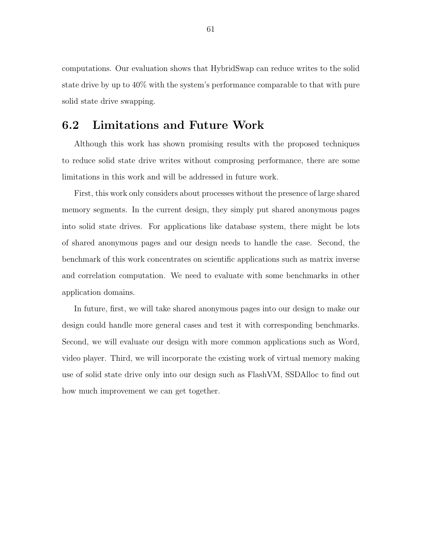computations. Our evaluation shows that HybridSwap can reduce writes to the solid state drive by up to 40% with the system's performance comparable to that with pure solid state drive swapping.

#### 6.2 Limitations and Future Work

Although this work has shown promising results with the proposed techniques to reduce solid state drive writes without comprosing performance, there are some limitations in this work and will be addressed in future work.

First, this work only considers about processes without the presence of large shared memory segments. In the current design, they simply put shared anonymous pages into solid state drives. For applications like database system, there might be lots of shared anonymous pages and our design needs to handle the case. Second, the benchmark of this work concentrates on scientific applications such as matrix inverse and correlation computation. We need to evaluate with some benchmarks in other application domains.

In future, first, we will take shared anonymous pages into our design to make our design could handle more general cases and test it with corresponding benchmarks. Second, we will evaluate our design with more common applications such as Word, video player. Third, we will incorporate the existing work of virtual memory making use of solid state drive only into our design such as FlashVM, SSDAlloc to find out how much improvement we can get together.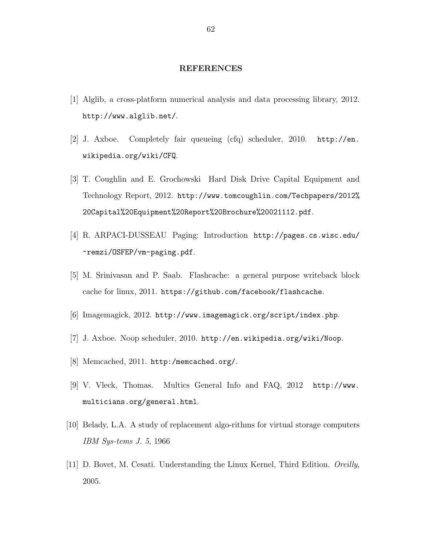#### REFERENCES

- [1] Alglib, a cross-platform numerical analysis and data processing library, 2012. <http://www.alglib.net/>.
- [2] J. Axboe. Completely fair queueing (cfq) scheduler, 2010. [http://en.](http://en.wikipedia.org/wiki/CFQ) [wikipedia.org/wiki/CFQ](http://en.wikipedia.org/wiki/CFQ).
- [3] T. Coughlin and E. Grochowski Hard Disk Drive Capital Equipment and Technology Report, 2012. [http://www.tomcoughlin.com/Techpapers/2012%](http://www.tomcoughlin.com/Techpapers/2012%20Capital%20Equipment%20Report%20Brochure%20021112.pdf) [20Capital%20Equipment%20Report%20Brochure%20021112.pdf](http://www.tomcoughlin.com/Techpapers/2012%20Capital%20Equipment%20Report%20Brochure%20021112.pdf).
- [4] R. ARPACI-DUSSEAU Paging: Introduction [http://pages.cs.wisc.edu/](http://pages.cs.wisc.edu/~remzi/OSFEP/vm-paging.pdf) [~remzi/OSFEP/vm-paging.pdf](http://pages.cs.wisc.edu/~remzi/OSFEP/vm-paging.pdf).
- [5] M. Srinivasan and P. Saab. Flashcache: a general purpose writeback block cache for linux, 2011. <https://github.com/facebook/flashcache>.
- [6] Imagemagick, 2012. <http://www.imagemagick.org/script/index.php>.
- [7] J. Axboe. Noop scheduler, 2010. <http://en.wikipedia.org/wiki/Noop>.
- [8] Memcached, 2011. <http:/memcached.org/>.
- [9] V. Vleck, Thomas. Multics General Info and FAQ, 2012 [http://www.](http://www.multicians.org/general.html) [multicians.org/general.html](http://www.multicians.org/general.html).
- [10] Belady, L.A. A study of replacement algo-rithms for virtual storage computers IBM Sys-tems J. 5, 1966
- [11] D. Bovet, M. Cesati. Understanding the Linux Kernel, Third Edition. Oreilly, 2005.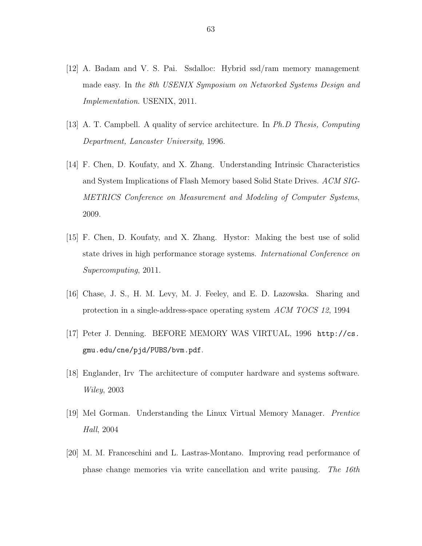- [12] A. Badam and V. S. Pai. Ssdalloc: Hybrid ssd/ram memory management made easy. In the 8th USENIX Symposium on Networked Systems Design and Implementation. USENIX, 2011.
- [13] A. T. Campbell. A quality of service architecture. In Ph.D Thesis, Computing Department, Lancaster University, 1996.
- [14] F. Chen, D. Koufaty, and X. Zhang. Understanding Intrinsic Characteristics and System Implications of Flash Memory based Solid State Drives. ACM SIG-METRICS Conference on Measurement and Modeling of Computer Systems, 2009.
- [15] F. Chen, D. Koufaty, and X. Zhang. Hystor: Making the best use of solid state drives in high performance storage systems. International Conference on Supercomputing, 2011.
- [16] Chase, J. S., H. M. Levy, M. J. Feeley, and E. D. Lazowska. Sharing and protection in a single-address-space operating system ACM TOCS 12, 1994
- [17] Peter J. Denning. BEFORE MEMORY WAS VIRTUAL, 1996 [http://cs.](http://cs.gmu.edu/cne/pjd/PUBS/bvm.pdf) [gmu.edu/cne/pjd/PUBS/bvm.pdf](http://cs.gmu.edu/cne/pjd/PUBS/bvm.pdf).
- [18] Englander, Irv The architecture of computer hardware and systems software. Wiley, 2003
- [19] Mel Gorman. Understanding the Linux Virtual Memory Manager. Prentice Hall, 2004
- [20] M. M. Franceschini and L. Lastras-Montano. Improving read performance of phase change memories via write cancellation and write pausing. The 16th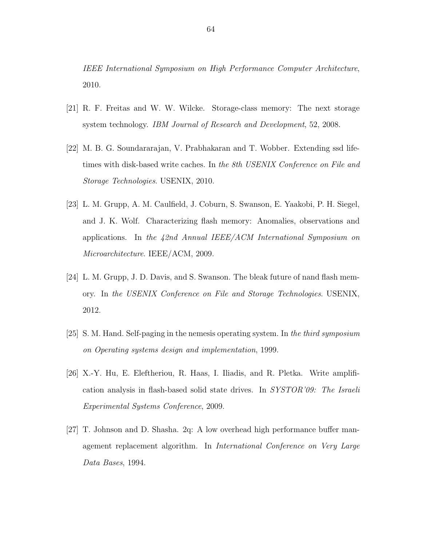IEEE International Symposium on High Performance Computer Architecture, 2010.

- [21] R. F. Freitas and W. W. Wilcke. Storage-class memory: The next storage system technology. IBM Journal of Research and Development, 52, 2008.
- [22] M. B. G. Soundararajan, V. Prabhakaran and T. Wobber. Extending ssd lifetimes with disk-based write caches. In the 8th USENIX Conference on File and Storage Technologies. USENIX, 2010.
- [23] L. M. Grupp, A. M. Caulfield, J. Coburn, S. Swanson, E. Yaakobi, P. H. Siegel, and J. K. Wolf. Characterizing flash memory: Anomalies, observations and applications. In the  $42nd$  Annual IEEE/ACM International Symposium on Microarchitecture. IEEE/ACM, 2009.
- [24] L. M. Grupp, J. D. Davis, and S. Swanson. The bleak future of nand flash memory. In the USENIX Conference on File and Storage Technologies. USENIX, 2012.
- [25] S. M. Hand. Self-paging in the nemesis operating system. In the third symposium on Operating systems design and implementation, 1999.
- [26] X.-Y. Hu, E. Eleftheriou, R. Haas, I. Iliadis, and R. Pletka. Write amplification analysis in flash-based solid state drives. In SYSTOR'09: The Israeli Experimental Systems Conference, 2009.
- [27] T. Johnson and D. Shasha. 2q: A low overhead high performance buffer management replacement algorithm. In International Conference on Very Large Data Bases, 1994.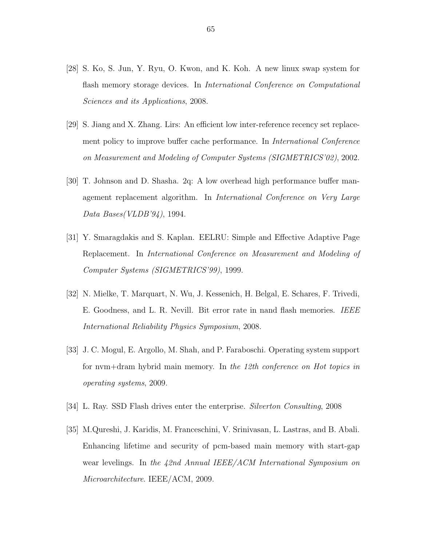- [28] S. Ko, S. Jun, Y. Ryu, O. Kwon, and K. Koh. A new linux swap system for flash memory storage devices. In *International Conference on Computational* Sciences and its Applications, 2008.
- [29] S. Jiang and X. Zhang. Lirs: An efficient low inter-reference recency set replacement policy to improve buffer cache performance. In *International Conference* on Measurement and Modeling of Computer Systems (SIGMETRICS'02), 2002.
- [30] T. Johnson and D. Shasha. 2q: A low overhead high performance buffer management replacement algorithm. In International Conference on Very Large Data Bases(VLDB'94), 1994.
- [31] Y. Smaragdakis and S. Kaplan. EELRU: Simple and Effective Adaptive Page Replacement. In International Conference on Measurement and Modeling of Computer Systems (SIGMETRICS'99), 1999.
- [32] N. Mielke, T. Marquart, N. Wu, J. Kessenich, H. Belgal, E. Schares, F. Trivedi, E. Goodness, and L. R. Nevill. Bit error rate in nand flash memories. IEEE International Reliability Physics Symposium, 2008.
- [33] J. C. Mogul, E. Argollo, M. Shah, and P. Faraboschi. Operating system support for nvm+dram hybrid main memory. In the 12th conference on Hot topics in operating systems, 2009.
- [34] L. Ray. SSD Flash drives enter the enterprise. Silverton Consulting, 2008
- [35] M.Qureshi, J. Karidis, M. Franceschini, V. Srinivasan, L. Lastras, and B. Abali. Enhancing lifetime and security of pcm-based main memory with start-gap wear levelings. In the 42nd Annual IEEE/ACM International Symposium on Microarchitecture. IEEE/ACM, 2009.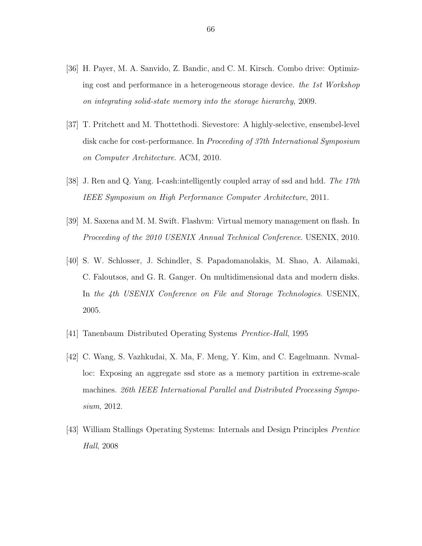- [36] H. Payer, M. A. Sanvido, Z. Bandic, and C. M. Kirsch. Combo drive: Optimizing cost and performance in a heterogeneous storage device. the 1st Workshop on integrating solid-state memory into the storage hierarchy, 2009.
- [37] T. Pritchett and M. Thottethodi. Sievestore: A highly-selective, ensembel-level disk cache for cost-performance. In Proceeding of 37th International Symposium on Computer Architecture. ACM, 2010.
- [38] J. Ren and Q. Yang. I-cash:intelligently coupled array of ssd and hdd. The 17th IEEE Symposium on High Performance Computer Architecture, 2011.
- [39] M. Saxena and M. M. Swift. Flashvm: Virtual memory management on flash. In Proceeding of the 2010 USENIX Annual Technical Conference. USENIX, 2010.
- [40] S. W. Schlosser, J. Schindler, S. Papadomanolakis, M. Shao, A. Ailamaki, C. Faloutsos, and G. R. Ganger. On multidimensional data and modern disks. In the 4th USENIX Conference on File and Storage Technologies. USENIX, 2005.
- [41] Tanenbaum Distributed Operating Systems Prentice-Hall, 1995
- [42] C. Wang, S. Vazhkudai, X. Ma, F. Meng, Y. Kim, and C. Eagelmann. Nvmalloc: Exposing an aggregate ssd store as a memory partition in extreme-scale machines. 26th IEEE International Parallel and Distributed Processing Symposium, 2012.
- [43] William Stallings Operating Systems: Internals and Design Principles Prentice Hall, 2008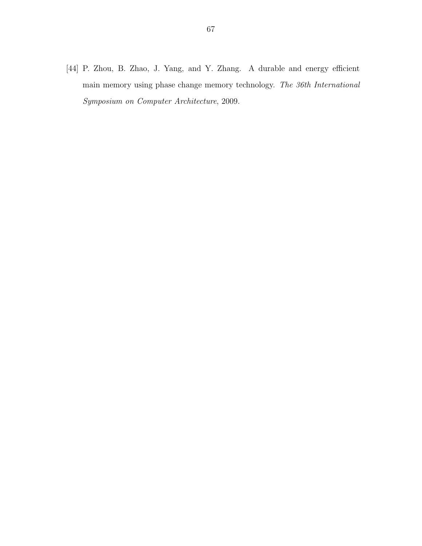[44] P. Zhou, B. Zhao, J. Yang, and Y. Zhang. A durable and energy efficient main memory using phase change memory technology. The 36th International Symposium on Computer Architecture, 2009.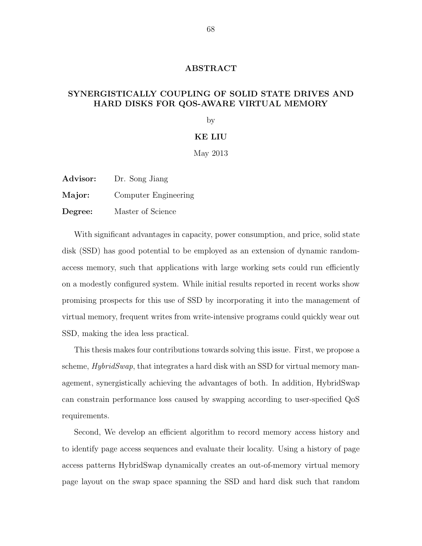### ABSTRACT

# SYNERGISTICALLY COUPLING OF SOLID STATE DRIVES AND HARD DISKS FOR QOS-AWARE VIRTUAL MEMORY

by

## KE LIU

May 2013

Advisor: Dr. Song Jiang

Major: Computer Engineering

Degree: Master of Science

With significant advantages in capacity, power consumption, and price, solid state disk (SSD) has good potential to be employed as an extension of dynamic randomaccess memory, such that applications with large working sets could run efficiently on a modestly configured system. While initial results reported in recent works show promising prospects for this use of SSD by incorporating it into the management of virtual memory, frequent writes from write-intensive programs could quickly wear out SSD, making the idea less practical.

This thesis makes four contributions towards solving this issue. First, we propose a scheme, *HybridSwap*, that integrates a hard disk with an SSD for virtual memory management, synergistically achieving the advantages of both. In addition, HybridSwap can constrain performance loss caused by swapping according to user-specified QoS requirements.

Second, We develop an efficient algorithm to record memory access history and to identify page access sequences and evaluate their locality. Using a history of page access patterns HybridSwap dynamically creates an out-of-memory virtual memory page layout on the swap space spanning the SSD and hard disk such that random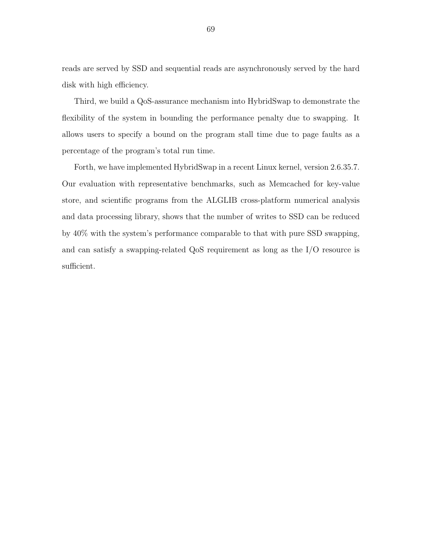reads are served by SSD and sequential reads are asynchronously served by the hard disk with high efficiency.

Third, we build a QoS-assurance mechanism into HybridSwap to demonstrate the flexibility of the system in bounding the performance penalty due to swapping. It allows users to specify a bound on the program stall time due to page faults as a percentage of the program's total run time.

Forth, we have implemented HybridSwap in a recent Linux kernel, version 2.6.35.7. Our evaluation with representative benchmarks, such as Memcached for key-value store, and scientific programs from the ALGLIB cross-platform numerical analysis and data processing library, shows that the number of writes to SSD can be reduced by 40% with the system's performance comparable to that with pure SSD swapping, and can satisfy a swapping-related QoS requirement as long as the I/O resource is sufficient.